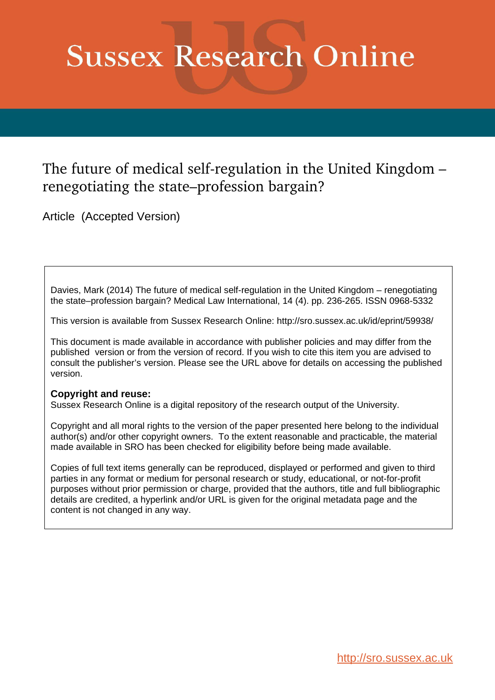# **Sussex Research Online**

## The future of medical self-regulation in the United Kingdom  $$ renegotiating the state–profession bargain?

Article (Accepted Version)

Davies, Mark (2014) The future of medical self-regulation in the United Kingdom – renegotiating the state–profession bargain? Medical Law International, 14 (4). pp. 236-265. ISSN 0968-5332

This version is available from Sussex Research Online: http://sro.sussex.ac.uk/id/eprint/59938/

This document is made available in accordance with publisher policies and may differ from the published version or from the version of record. If you wish to cite this item you are advised to consult the publisher's version. Please see the URL above for details on accessing the published version.

### **Copyright and reuse:**

Sussex Research Online is a digital repository of the research output of the University.

Copyright and all moral rights to the version of the paper presented here belong to the individual author(s) and/or other copyright owners. To the extent reasonable and practicable, the material made available in SRO has been checked for eligibility before being made available.

Copies of full text items generally can be reproduced, displayed or performed and given to third parties in any format or medium for personal research or study, educational, or not-for-profit purposes without prior permission or charge, provided that the authors, title and full bibliographic details are credited, a hyperlink and/or URL is given for the original metadata page and the content is not changed in any way.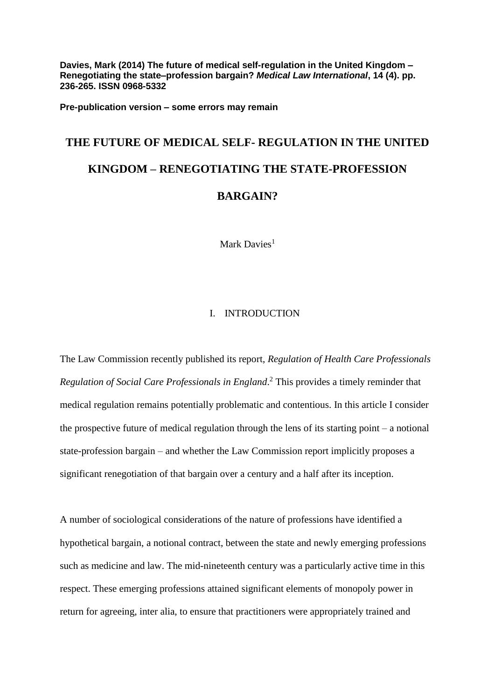**Davies, Mark (2014) [The future of medical self-regulation in the United Kingdom –](http://sro.sussex.ac.uk/52108/) [Renegotiating the state–profession bargain?](http://sro.sussex.ac.uk/52108/)** *Medical Law International***, 14 (4). pp. 236-265. ISSN 0968-5332**

**Pre-publication version – some errors may remain**

## **THE FUTURE OF MEDICAL SELF- REGULATION IN THE UNITED KINGDOM – RENEGOTIATING THE STATE-PROFESSION BARGAIN?**

Mark Davies<sup>1</sup>

### I. INTRODUCTION

The Law Commission recently published its report, *Regulation of Health Care Professionals Regulation of Social Care Professionals in England*. <sup>2</sup> This provides a timely reminder that medical regulation remains potentially problematic and contentious. In this article I consider the prospective future of medical regulation through the lens of its starting point – a notional state-profession bargain – and whether the Law Commission report implicitly proposes a significant renegotiation of that bargain over a century and a half after its inception.

A number of sociological considerations of the nature of professions have identified a hypothetical bargain, a notional contract, between the state and newly emerging professions such as medicine and law. The mid-nineteenth century was a particularly active time in this respect. These emerging professions attained significant elements of monopoly power in return for agreeing, inter alia, to ensure that practitioners were appropriately trained and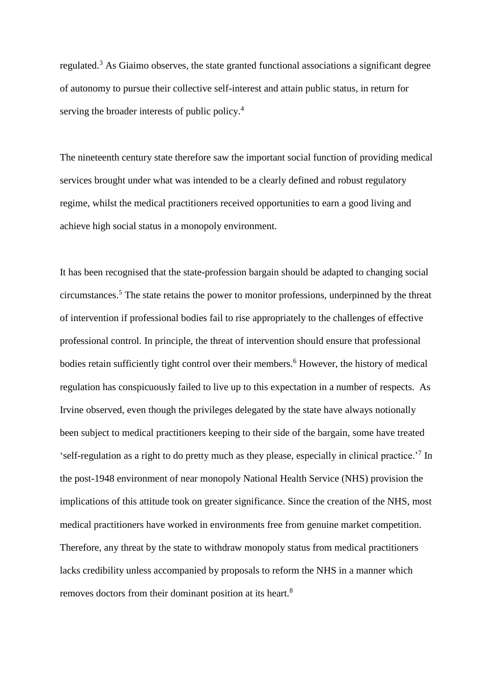regulated.<sup>3</sup> As Giaimo observes, the state granted functional associations a significant degree of autonomy to pursue their collective self-interest and attain public status, in return for serving the broader interests of public policy.<sup>4</sup>

The nineteenth century state therefore saw the important social function of providing medical services brought under what was intended to be a clearly defined and robust regulatory regime, whilst the medical practitioners received opportunities to earn a good living and achieve high social status in a monopoly environment.

It has been recognised that the state-profession bargain should be adapted to changing social circumstances.<sup>5</sup> The state retains the power to monitor professions, underpinned by the threat of intervention if professional bodies fail to rise appropriately to the challenges of effective professional control. In principle, the threat of intervention should ensure that professional bodies retain sufficiently tight control over their members.<sup>6</sup> However, the history of medical regulation has conspicuously failed to live up to this expectation in a number of respects. As Irvine observed, even though the privileges delegated by the state have always notionally been subject to medical practitioners keeping to their side of the bargain, some have treated 'self-regulation as a right to do pretty much as they please, especially in clinical practice.'<sup>7</sup> In the post-1948 environment of near monopoly National Health Service (NHS) provision the implications of this attitude took on greater significance. Since the creation of the NHS, most medical practitioners have worked in environments free from genuine market competition. Therefore, any threat by the state to withdraw monopoly status from medical practitioners lacks credibility unless accompanied by proposals to reform the NHS in a manner which removes doctors from their dominant position at its heart.<sup>8</sup>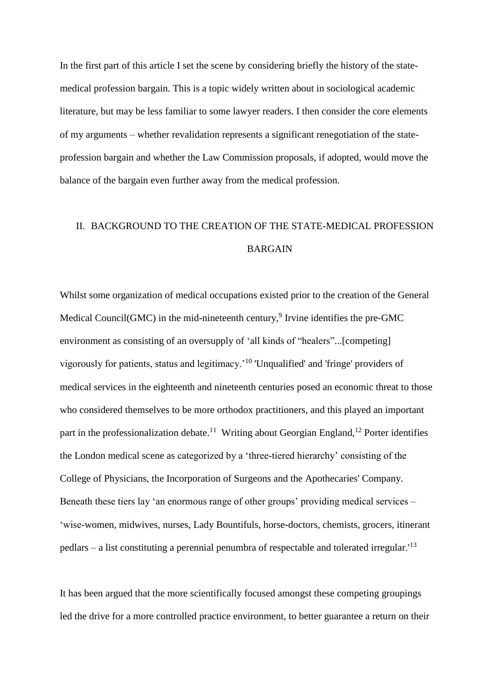In the first part of this article I set the scene by considering briefly the history of the statemedical profession bargain. This is a topic widely written about in sociological academic literature, but may be less familiar to some lawyer readers. I then consider the core elements of my arguments – whether revalidation represents a significant renegotiation of the stateprofession bargain and whether the Law Commission proposals, if adopted, would move the balance of the bargain even further away from the medical profession.

## II. BACKGROUND TO THE CREATION OF THE STATE-MEDICAL PROFESSION BARGAIN

Whilst some organization of medical occupations existed prior to the creation of the General Medical Council(GMC) in the mid-nineteenth century,<sup>9</sup> Irvine identifies the pre-GMC environment as consisting of an oversupply of 'all kinds of "healers"...[competing] vigorously for patients, status and legitimacy.'<sup>10</sup> 'Unqualified' and 'fringe' providers of medical services in the eighteenth and nineteenth centuries posed an economic threat to those who considered themselves to be more orthodox practitioners, and this played an important part in the professionalization debate.<sup>11</sup> Writing about Georgian England,<sup>12</sup> Porter identifies the London medical scene as categorized by a 'three-tiered hierarchy' consisting of the College of Physicians, the Incorporation of Surgeons and the Apothecaries' Company. Beneath these tiers lay 'an enormous range of other groups' providing medical services – 'wise-women, midwives, nurses, Lady Bountifuls, horse-doctors, chemists, grocers, itinerant pedlars – a list constituting a perennial penumbra of respectable and tolerated irregular.'<sup>13</sup>

It has been argued that the more scientifically focused amongst these competing groupings led the drive for a more controlled practice environment, to better guarantee a return on their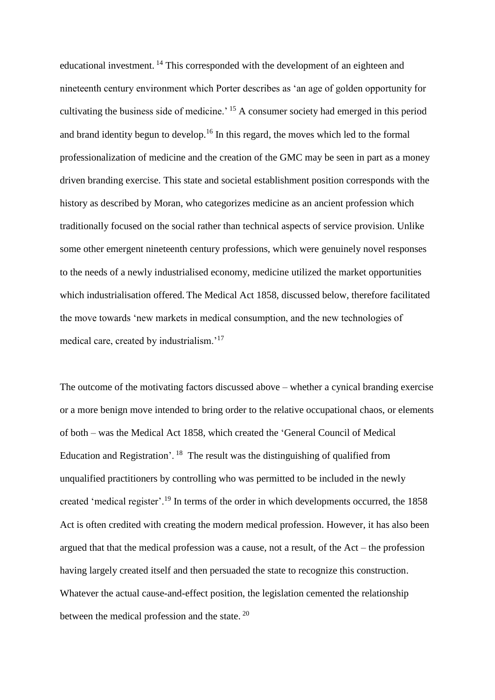educational investment. <sup>14</sup> This corresponded with the development of an eighteen and nineteenth century environment which Porter describes as 'an age of golden opportunity for cultivating the business side of medicine.' <sup>15</sup> A consumer society had emerged in this period and brand identity begun to develop.<sup>16</sup> In this regard, the moves which led to the formal professionalization of medicine and the creation of the GMC may be seen in part as a money driven branding exercise. This state and societal establishment position corresponds with the history as described by Moran, who categorizes medicine as an ancient profession which traditionally focused on the social rather than technical aspects of service provision. Unlike some other emergent nineteenth century professions, which were genuinely novel responses to the needs of a newly industrialised economy, medicine utilized the market opportunities which industrialisation offered. The Medical Act 1858, discussed below, therefore facilitated the move towards 'new markets in medical consumption, and the new technologies of medical care, created by industrialism.'<sup>17</sup>

The outcome of the motivating factors discussed above – whether a cynical branding exercise or a more benign move intended to bring order to the relative occupational chaos, or elements of both – was the Medical Act 1858, which created the 'General Council of Medical Education and Registration'. <sup>18</sup> The result was the distinguishing of qualified from unqualified practitioners by controlling who was permitted to be included in the newly created 'medical register'.<sup>19</sup> In terms of the order in which developments occurred, the 1858 Act is often credited with creating the modern medical profession. However, it has also been argued that that the medical profession was a cause, not a result, of the Act – the profession having largely created itself and then persuaded the state to recognize this construction. Whatever the actual cause-and-effect position, the legislation cemented the relationship between the medical profession and the state.<sup>20</sup>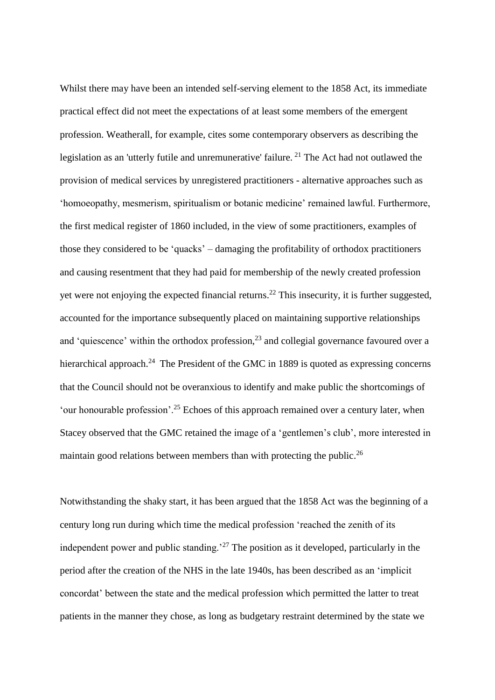Whilst there may have been an intended self-serving element to the 1858 Act, its immediate practical effect did not meet the expectations of at least some members of the emergent profession. Weatherall, for example, cites some contemporary observers as describing the legislation as an 'utterly futile and unremunerative' failure.<sup>21</sup> The Act had not outlawed the provision of medical services by unregistered practitioners - alternative approaches such as 'homoeopathy, mesmerism, spiritualism or botanic medicine' remained lawful. Furthermore, the first medical register of 1860 included, in the view of some practitioners, examples of those they considered to be 'quacks' – damaging the profitability of orthodox practitioners and causing resentment that they had paid for membership of the newly created profession yet were not enjoying the expected financial returns.<sup>22</sup> This insecurity, it is further suggested, accounted for the importance subsequently placed on maintaining supportive relationships and 'quiescence' within the orthodox profession, $^{23}$  and collegial governance favoured over a hierarchical approach.<sup>24</sup> The President of the GMC in 1889 is quoted as expressing concerns that the Council should not be overanxious to identify and make public the shortcomings of 'our honourable profession'.<sup>25</sup> Echoes of this approach remained over a century later, when Stacey observed that the GMC retained the image of a 'gentlemen's club', more interested in maintain good relations between members than with protecting the public.<sup>26</sup>

Notwithstanding the shaky start, it has been argued that the 1858 Act was the beginning of a century long run during which time the medical profession 'reached the zenith of its independent power and public standing.'<sup>27</sup> The position as it developed, particularly in the period after the creation of the NHS in the late 1940s, has been described as an 'implicit concordat' between the state and the medical profession which permitted the latter to treat patients in the manner they chose, as long as budgetary restraint determined by the state we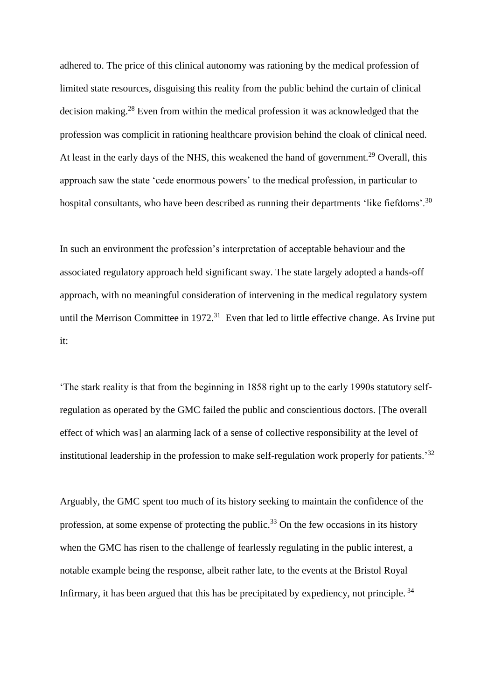adhered to. The price of this clinical autonomy was rationing by the medical profession of limited state resources, disguising this reality from the public behind the curtain of clinical decision making.<sup>28</sup> Even from within the medical profession it was acknowledged that the profession was complicit in rationing healthcare provision behind the cloak of clinical need. At least in the early days of the NHS, this weakened the hand of government.<sup>29</sup> Overall, this approach saw the state 'cede enormous powers' to the medical profession, in particular to hospital consultants, who have been described as running their departments 'like fiefdoms'.<sup>30</sup>

In such an environment the profession's interpretation of acceptable behaviour and the associated regulatory approach held significant sway. The state largely adopted a hands-off approach, with no meaningful consideration of intervening in the medical regulatory system until the Merrison Committee in  $1972$ <sup>31</sup> Even that led to little effective change. As Irvine put it:

'The stark reality is that from the beginning in 1858 right up to the early 1990s statutory selfregulation as operated by the GMC failed the public and conscientious doctors. [The overall effect of which was] an alarming lack of a sense of collective responsibility at the level of institutional leadership in the profession to make self-regulation work properly for patients.'<sup>32</sup>

Arguably, the GMC spent too much of its history seeking to maintain the confidence of the profession, at some expense of protecting the public.<sup>33</sup> On the few occasions in its history when the GMC has risen to the challenge of fearlessly regulating in the public interest, a notable example being the response, albeit rather late, to the events at the Bristol Royal Infirmary, it has been argued that this has be precipitated by expediency, not principle.<sup>34</sup>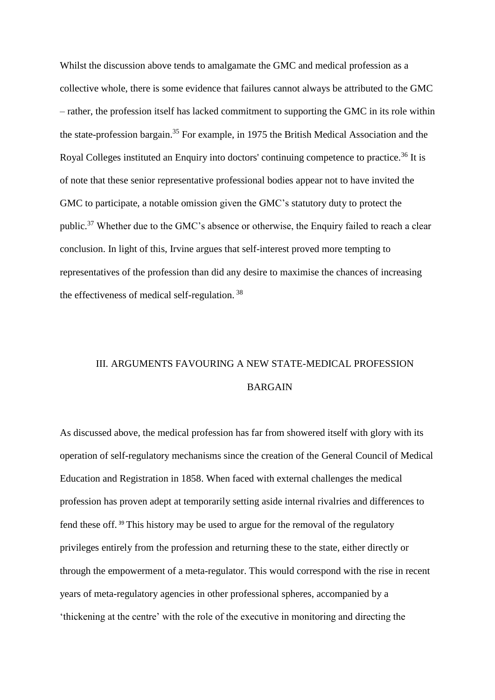Whilst the discussion above tends to amalgamate the GMC and medical profession as a collective whole, there is some evidence that failures cannot always be attributed to the GMC – rather, the profession itself has lacked commitment to supporting the GMC in its role within the state-profession bargain.<sup>35</sup> For example, in 1975 the British Medical Association and the Royal Colleges instituted an Enquiry into doctors' continuing competence to practice.<sup>36</sup> It is of note that these senior representative professional bodies appear not to have invited the GMC to participate, a notable omission given the GMC's statutory duty to protect the public.<sup>37</sup> Whether due to the GMC's absence or otherwise, the Enquiry failed to reach a clear conclusion. In light of this, Irvine argues that self-interest proved more tempting to representatives of the profession than did any desire to maximise the chances of increasing the effectiveness of medical self-regulation. <sup>38</sup>

## III. ARGUMENTS FAVOURING A NEW STATE-MEDICAL PROFESSION BARGAIN

As discussed above, the medical profession has far from showered itself with glory with its operation of self-regulatory mechanisms since the creation of the General Council of Medical Education and Registration in 1858. When faced with external challenges the medical profession has proven adept at temporarily setting aside internal rivalries and differences to fend these off. <sup>39</sup> This history may be used to argue for the removal of the regulatory privileges entirely from the profession and returning these to the state, either directly or through the empowerment of a meta-regulator. This would correspond with the rise in recent years of meta-regulatory agencies in other professional spheres, accompanied by a 'thickening at the centre' with the role of the executive in monitoring and directing the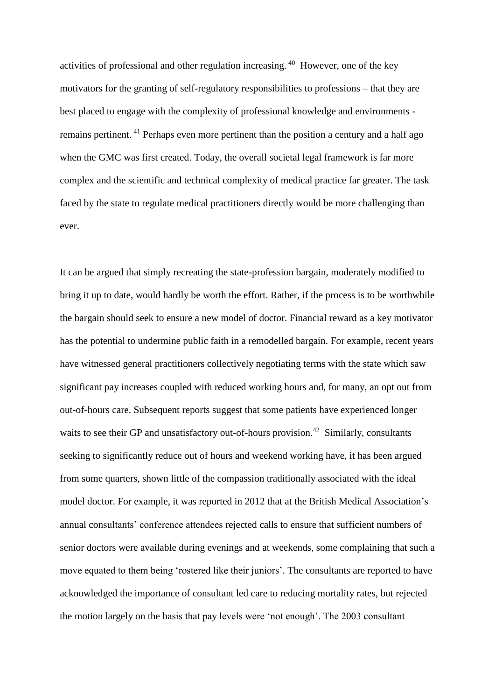activities of professional and other regulation increasing. <sup>40</sup> However, one of the key motivators for the granting of self-regulatory responsibilities to professions – that they are best placed to engage with the complexity of professional knowledge and environments remains pertinent.<sup>41</sup> Perhaps even more pertinent than the position a century and a half ago when the GMC was first created. Today, the overall societal legal framework is far more complex and the scientific and technical complexity of medical practice far greater. The task faced by the state to regulate medical practitioners directly would be more challenging than ever.

It can be argued that simply recreating the state-profession bargain, moderately modified to bring it up to date, would hardly be worth the effort. Rather, if the process is to be worthwhile the bargain should seek to ensure a new model of doctor. Financial reward as a key motivator has the potential to undermine public faith in a remodelled bargain. For example, recent years have witnessed general practitioners collectively negotiating terms with the state which saw significant pay increases coupled with reduced working hours and, for many, an opt out from out-of-hours care. Subsequent reports suggest that some patients have experienced longer waits to see their GP and unsatisfactory out-of-hours provision.<sup>42</sup> Similarly, consultants seeking to significantly reduce out of hours and weekend working have, it has been argued from some quarters, shown little of the compassion traditionally associated with the ideal model doctor. For example, it was reported in 2012 that at the British Medical Association's annual consultants' conference attendees rejected calls to ensure that sufficient numbers of senior doctors were available during evenings and at weekends, some complaining that such a move equated to them being 'rostered like their juniors'. The consultants are reported to have acknowledged the importance of consultant led care to reducing mortality rates, but rejected the motion largely on the basis that pay levels were 'not enough'. The 2003 consultant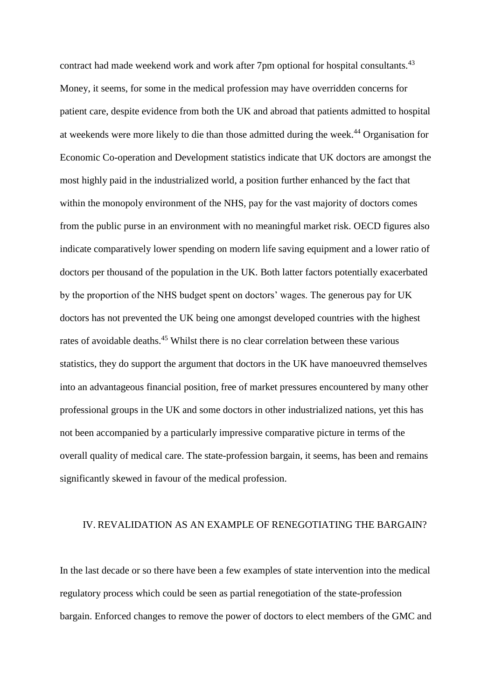contract had made weekend work and work after 7pm optional for hospital consultants.<sup>43</sup> Money, it seems, for some in the medical profession may have overridden concerns for patient care, despite evidence from both the UK and abroad that patients admitted to hospital at weekends were more likely to die than those admitted during the week.<sup>44</sup> Organisation for Economic Co-operation and Development statistics indicate that UK doctors are amongst the most highly paid in the industrialized world, a position further enhanced by the fact that within the monopoly environment of the NHS, pay for the vast majority of doctors comes from the public purse in an environment with no meaningful market risk. OECD figures also indicate comparatively lower spending on modern life saving equipment and a lower ratio of doctors per thousand of the population in the UK. Both latter factors potentially exacerbated by the proportion of the NHS budget spent on doctors' wages. The generous pay for UK doctors has not prevented the UK being one amongst developed countries with the highest rates of avoidable deaths.<sup>45</sup> Whilst there is no clear correlation between these various statistics, they do support the argument that doctors in the UK have manoeuvred themselves into an advantageous financial position, free of market pressures encountered by many other professional groups in the UK and some doctors in other industrialized nations, yet this has not been accompanied by a particularly impressive comparative picture in terms of the overall quality of medical care. The state-profession bargain, it seems, has been and remains significantly skewed in favour of the medical profession.

### IV. REVALIDATION AS AN EXAMPLE OF RENEGOTIATING THE BARGAIN?

In the last decade or so there have been a few examples of state intervention into the medical regulatory process which could be seen as partial renegotiation of the state-profession bargain. Enforced changes to remove the power of doctors to elect members of the GMC and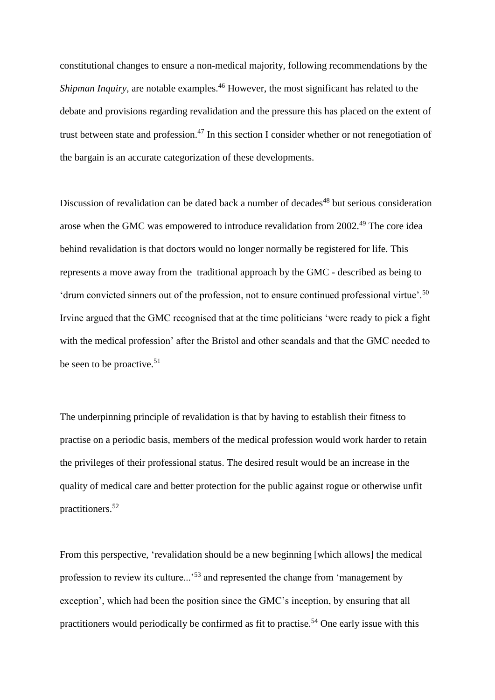constitutional changes to ensure a non-medical majority, following recommendations by the *Shipman Inquiry,* are notable examples.<sup>46</sup> However, the most significant has related to the debate and provisions regarding revalidation and the pressure this has placed on the extent of trust between state and profession.<sup>47</sup> In this section I consider whether or not renegotiation of the bargain is an accurate categorization of these developments.

Discussion of revalidation can be dated back a number of decades<sup>48</sup> but serious consideration arose when the GMC was empowered to introduce revalidation from 2002.<sup>49</sup> The core idea behind revalidation is that doctors would no longer normally be registered for life. This represents a move away from the traditional approach by the GMC - described as being to 'drum convicted sinners out of the profession, not to ensure continued professional virtue'.<sup>50</sup> Irvine argued that the GMC recognised that at the time politicians 'were ready to pick a fight with the medical profession' after the Bristol and other scandals and that the GMC needed to be seen to be proactive.<sup>51</sup>

The underpinning principle of revalidation is that by having to establish their fitness to practise on a periodic basis, members of the medical profession would work harder to retain the privileges of their professional status. The desired result would be an increase in the quality of medical care and better protection for the public against rogue or otherwise unfit practitioners. 52

From this perspective, 'revalidation should be a new beginning [which allows] the medical profession to review its culture...'<sup>53</sup> and represented the change from 'management by exception', which had been the position since the GMC's inception, by ensuring that all practitioners would periodically be confirmed as fit to practise.<sup>54</sup> One early issue with this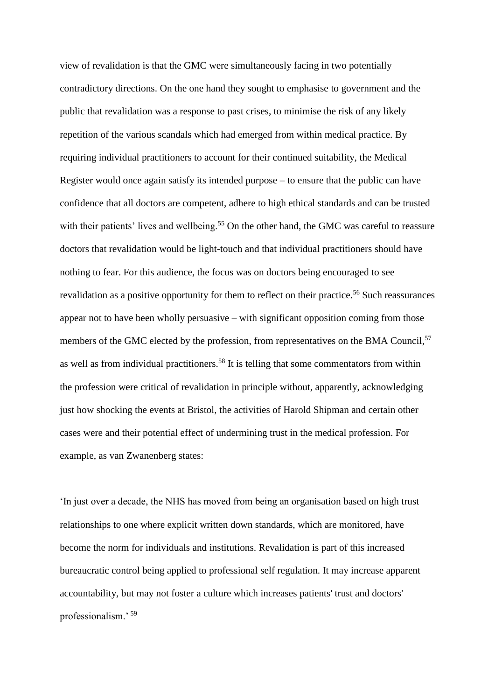view of revalidation is that the GMC were simultaneously facing in two potentially contradictory directions. On the one hand they sought to emphasise to government and the public that revalidation was a response to past crises, to minimise the risk of any likely repetition of the various scandals which had emerged from within medical practice. By requiring individual practitioners to account for their continued suitability, the Medical Register would once again satisfy its intended purpose – to ensure that the public can have confidence that all doctors are competent, adhere to high ethical standards and can be trusted with their patients' lives and wellbeing.<sup>55</sup> On the other hand, the GMC was careful to reassure doctors that revalidation would be light-touch and that individual practitioners should have nothing to fear. For this audience, the focus was on doctors being encouraged to see revalidation as a positive opportunity for them to reflect on their practice.<sup>56</sup> Such reassurances appear not to have been wholly persuasive – with significant opposition coming from those members of the GMC elected by the profession, from representatives on the BMA Council,<sup>57</sup> as well as from individual practitioners.<sup>58</sup> It is telling that some commentators from within the profession were critical of revalidation in principle without, apparently, acknowledging just how shocking the events at Bristol, the activities of Harold Shipman and certain other cases were and their potential effect of undermining trust in the medical profession. For example, as [van Zwanenberg](http://www.ncbi.nlm.nih.gov/pubmed/?term=van%20Zwanenberg%20T%5Bauth%5D) states:

'In just over a decade, the NHS has moved from being an organisation based on high trust relationships to one where explicit written down standards, which are monitored, have become the norm for individuals and institutions. Revalidation is part of this increased bureaucratic control being applied to professional self regulation. It may increase apparent accountability, but may not foster a culture which increases patients' trust and doctors' professionalism.' <sup>59</sup>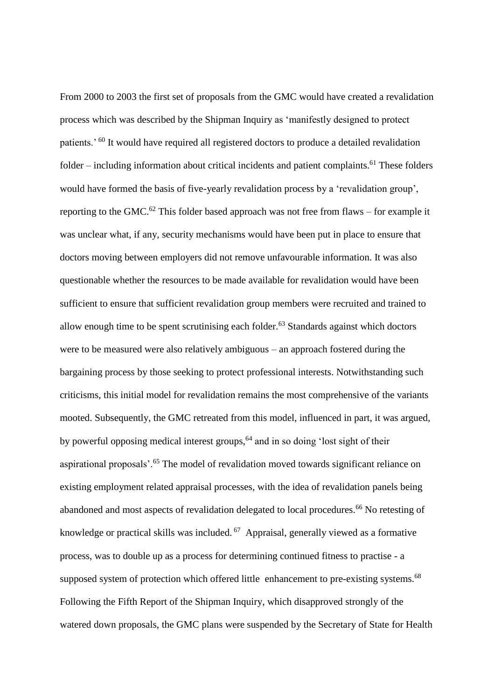From 2000 to 2003 the first set of proposals from the GMC would have created a revalidation process which was described by the Shipman Inquiry as 'manifestly designed to protect patients.' <sup>60</sup> It would have required all registered doctors to produce a detailed revalidation folder – including information about critical incidents and patient complaints.<sup>61</sup> These folders would have formed the basis of five-yearly revalidation process by a 'revalidation group', reporting to the GMC.<sup>62</sup> This folder based approach was not free from flaws – for example it was unclear what, if any, security mechanisms would have been put in place to ensure that doctors moving between employers did not remove unfavourable information. It was also questionable whether the resources to be made available for revalidation would have been sufficient to ensure that sufficient revalidation group members were recruited and trained to allow enough time to be spent scrutinising each folder.<sup>63</sup> Standards against which doctors were to be measured were also relatively ambiguous – an approach fostered during the bargaining process by those seeking to protect professional interests. Notwithstanding such criticisms, this initial model for revalidation remains the most comprehensive of the variants mooted. Subsequently, the GMC retreated from this model, influenced in part, it was argued, by powerful opposing medical interest groups,<sup>64</sup> and in so doing 'lost sight of their aspirational proposals'.<sup>65</sup> The model of revalidation moved towards significant reliance on existing employment related appraisal processes, with the idea of revalidation panels being abandoned and most aspects of revalidation delegated to local procedures.<sup>66</sup> No retesting of knowledge or practical skills was included.<sup>67</sup> Appraisal, generally viewed as a formative process, was to double up as a process for determining continued fitness to practise - a supposed system of protection which offered little enhancement to pre-existing systems.<sup>68</sup> Following the Fifth Report of the Shipman Inquiry, which disapproved strongly of the watered down proposals, the GMC plans were suspended by the Secretary of State for Health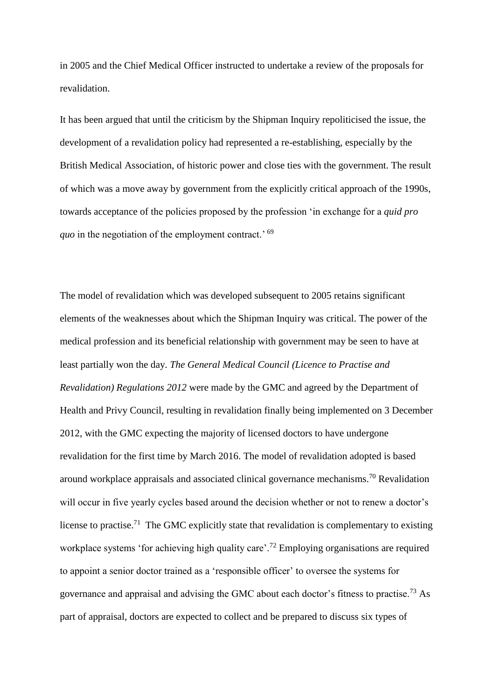in 2005 and the Chief Medical Officer instructed to undertake a review of the proposals for revalidation.

It has been argued that until the criticism by the Shipman Inquiry repoliticised the issue, the development of a revalidation policy had represented a re-establishing, especially by the British Medical Association, of historic power and close ties with the government. The result of which was a move away by government from the explicitly critical approach of the 1990s, towards acceptance of the policies proposed by the profession 'in exchange for a *quid pro quo* in the negotiation of the employment contract.<sup>' 69</sup>

The model of revalidation which was developed subsequent to 2005 retains significant elements of the weaknesses about which the Shipman Inquiry was critical. The power of the medical profession and its beneficial relationship with government may be seen to have at least partially won the day. *The General Medical Council (Licence to Practise and Revalidation) Regulations 2012* were made by the GMC and agreed by the Department of Health and Privy Council, resulting in revalidation finally being implemented on 3 December 2012, with the GMC expecting the majority of licensed doctors to have undergone revalidation for the first time by March 2016. The model of revalidation adopted is based around workplace appraisals and associated clinical governance mechanisms.<sup>70</sup> Revalidation will occur in five yearly cycles based around the decision whether or not to renew a doctor's license to practise.<sup>71</sup> The GMC explicitly state that revalidation is complementary to existing workplace systems 'for achieving high quality care'.<sup>72</sup> Employing organisations are required to appoint a senior doctor trained as a 'responsible officer' to oversee the systems for governance and appraisal and advising the GMC about each doctor's fitness to practise.<sup>73</sup> As part of appraisal, doctors are expected to collect and be prepared to discuss six types of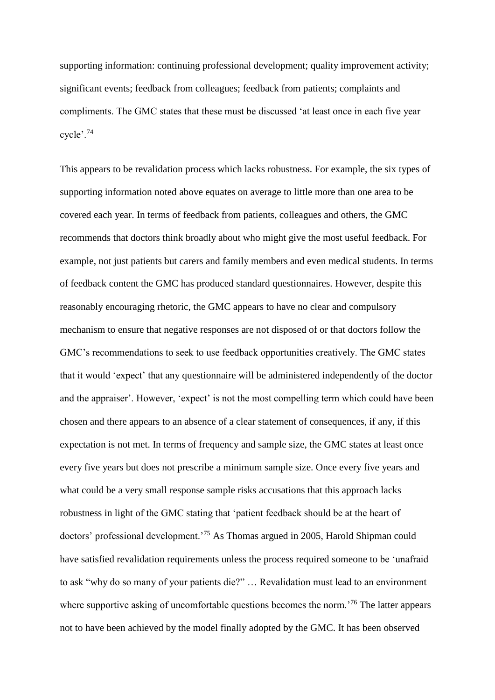supporting information: continuing professional development; quality improvement activity; significant events; feedback from colleagues; feedback from patients; complaints and compliments. The GMC states that these must be discussed 'at least once in each five year cycle'.<sup>74</sup>

This appears to be revalidation process which lacks robustness. For example, the six types of supporting information noted above equates on average to little more than one area to be covered each year. In terms of feedback from patients, colleagues and others, the GMC recommends that doctors think broadly about who might give the most useful feedback. For example, not just patients but carers and family members and even medical students. In terms of feedback content the GMC has produced standard questionnaires. However, despite this reasonably encouraging rhetoric, the GMC appears to have no clear and compulsory mechanism to ensure that negative responses are not disposed of or that doctors follow the GMC's recommendations to seek to use feedback opportunities creatively. The GMC states that it would 'expect' that any questionnaire will be administered independently of the doctor and the appraiser'. However, 'expect' is not the most compelling term which could have been chosen and there appears to an absence of a clear statement of consequences, if any, if this expectation is not met. In terms of frequency and sample size, the GMC states at least once every five years but does not prescribe a minimum sample size. Once every five years and what could be a very small response sample risks accusations that this approach lacks robustness in light of the GMC stating that 'patient feedback should be at the heart of doctors' professional development.'<sup>75</sup> As Thomas argued in 2005, Harold Shipman could have satisfied revalidation requirements unless the process required someone to be 'unafraid to ask "why do so many of your patients die?" … Revalidation must lead to an environment where supportive asking of uncomfortable questions becomes the norm.<sup>76</sup> The latter appears not to have been achieved by the model finally adopted by the GMC. It has been observed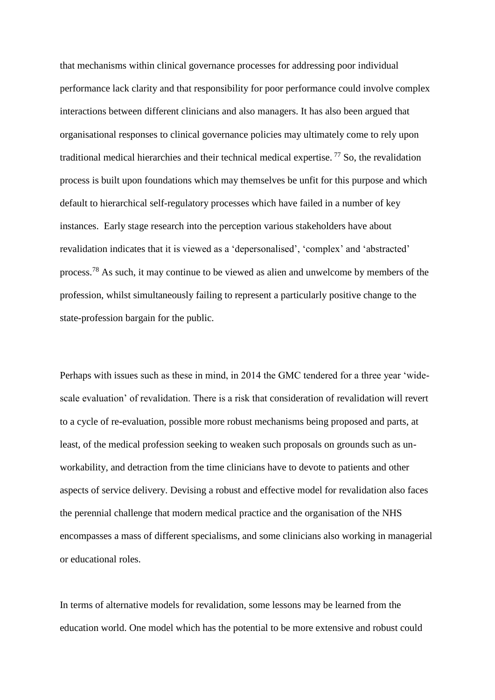that mechanisms within clinical governance processes for addressing poor individual performance lack clarity and that responsibility for poor performance could involve complex interactions between different clinicians and also managers. It has also been argued that organisational responses to clinical governance policies may ultimately come to rely upon traditional medical hierarchies and their technical medical expertise.  $^{77}$  So, the revalidation process is built upon foundations which may themselves be unfit for this purpose and which default to hierarchical self-regulatory processes which have failed in a number of key instances. Early stage research into the perception various stakeholders have about revalidation indicates that it is viewed as a 'depersonalised', 'complex' and 'abstracted' process.<sup>78</sup> As such, it may continue to be viewed as alien and unwelcome by members of the profession, whilst simultaneously failing to represent a particularly positive change to the state-profession bargain for the public.

Perhaps with issues such as these in mind, in 2014 the GMC tendered for a three year 'widescale evaluation' of revalidation. There is a risk that consideration of revalidation will revert to a cycle of re-evaluation, possible more robust mechanisms being proposed and parts, at least, of the medical profession seeking to weaken such proposals on grounds such as unworkability, and detraction from the time clinicians have to devote to patients and other aspects of service delivery. Devising a robust and effective model for revalidation also faces the perennial challenge that modern medical practice and the organisation of the NHS encompasses a mass of different specialisms, and some clinicians also working in managerial or educational roles.

In terms of alternative models for revalidation, some lessons may be learned from the education world. One model which has the potential to be more extensive and robust could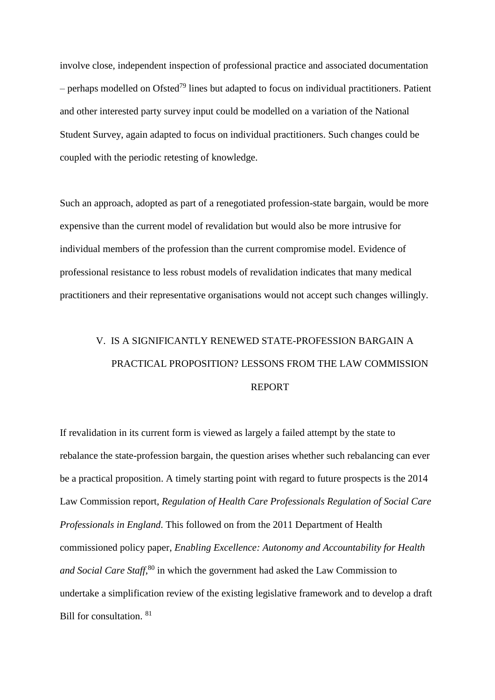involve close, independent inspection of professional practice and associated documentation – perhaps modelled on Ofsted<sup>79</sup> lines but adapted to focus on individual practitioners. Patient and other interested party survey input could be modelled on a variation of the National Student Survey, again adapted to focus on individual practitioners. Such changes could be coupled with the periodic retesting of knowledge.

Such an approach, adopted as part of a renegotiated profession-state bargain, would be more expensive than the current model of revalidation but would also be more intrusive for individual members of the profession than the current compromise model. Evidence of professional resistance to less robust models of revalidation indicates that many medical practitioners and their representative organisations would not accept such changes willingly.

## V. IS A SIGNIFICANTLY RENEWED STATE-PROFESSION BARGAIN A PRACTICAL PROPOSITION? LESSONS FROM THE LAW COMMISSION REPORT

If revalidation in its current form is viewed as largely a failed attempt by the state to rebalance the state-profession bargain, the question arises whether such rebalancing can ever be a practical proposition. A timely starting point with regard to future prospects is the 2014 Law Commission report, *Regulation of Health Care Professionals Regulation of Social Care Professionals in England*. This followed on from the 2011 Department of Health commissioned policy paper, *Enabling Excellence: Autonomy and Accountability for Health*  and Social Care Staff,<sup>80</sup> in which the government had asked the Law Commission to undertake a simplification review of the existing legislative framework and to develop a draft Bill for consultation. 81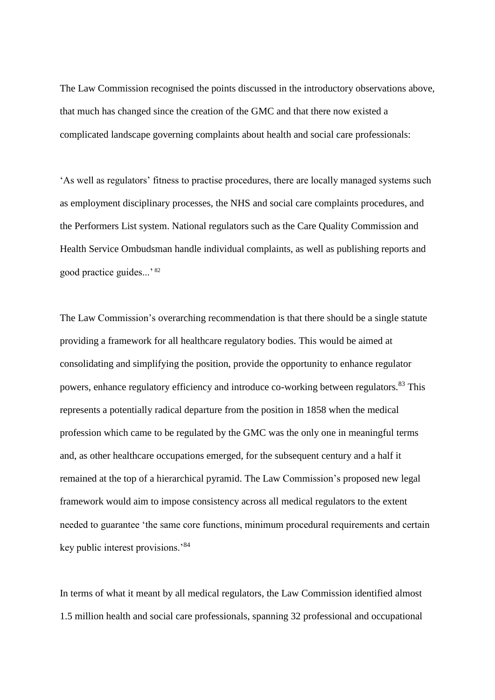The Law Commission recognised the points discussed in the introductory observations above, that much has changed since the creation of the GMC and that there now existed a complicated landscape governing complaints about health and social care professionals:

'As well as regulators' fitness to practise procedures, there are locally managed systems such as employment disciplinary processes, the NHS and social care complaints procedures, and the Performers List system. National regulators such as the Care Quality Commission and Health Service Ombudsman handle individual complaints, as well as publishing reports and good practice guides...' <sup>82</sup>

The Law Commission's overarching recommendation is that there should be a single statute providing a framework for all healthcare regulatory bodies. This would be aimed at consolidating and simplifying the position, provide the opportunity to enhance regulator powers, enhance regulatory efficiency and introduce co-working between regulators.<sup>83</sup> This represents a potentially radical departure from the position in 1858 when the medical profession which came to be regulated by the GMC was the only one in meaningful terms and, as other healthcare occupations emerged, for the subsequent century and a half it remained at the top of a hierarchical pyramid. The Law Commission's proposed new legal framework would aim to impose consistency across all medical regulators to the extent needed to guarantee 'the same core functions, minimum procedural requirements and certain key public interest provisions.'<sup>84</sup>

In terms of what it meant by all medical regulators, the Law Commission identified almost 1.5 million health and social care professionals, spanning 32 professional and occupational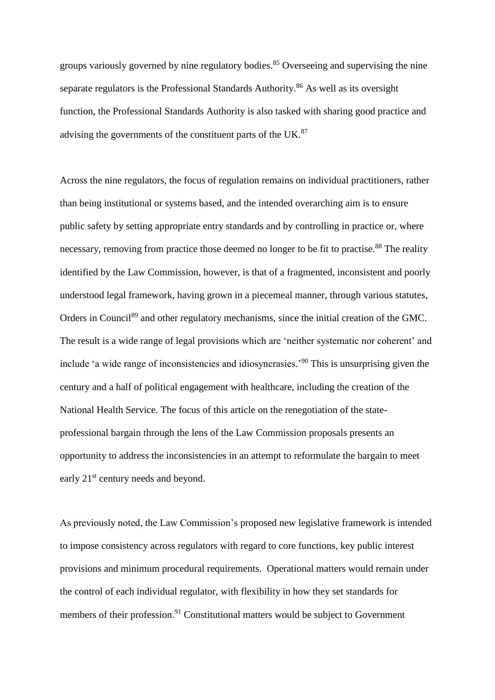groups variously governed by nine regulatory bodies. <sup>85</sup> Overseeing and supervising the nine separate regulators is the Professional Standards Authority.<sup>86</sup> As well as its oversight function, the Professional Standards Authority is also tasked with sharing good practice and advising the governments of the constituent parts of the UK.<sup>87</sup>

Across the nine regulators, the focus of regulation remains on individual practitioners, rather than being institutional or systems based, and the intended overarching aim is to ensure public safety by setting appropriate entry standards and by controlling in practice or, where necessary, removing from practice those deemed no longer to be fit to practise.<sup>88</sup> The reality identified by the Law Commission, however, is that of a fragmented, inconsistent and poorly understood legal framework, having grown in a piecemeal manner, through various statutes, Orders in Council<sup>89</sup> and other regulatory mechanisms, since the initial creation of the GMC. The result is a wide range of legal provisions which are 'neither systematic nor coherent' and include 'a wide range of inconsistencies and idiosyncrasies.'<sup>90</sup> This is unsurprising given the century and a half of political engagement with healthcare, including the creation of the National Health Service. The focus of this article on the renegotiation of the stateprofessional bargain through the lens of the Law Commission proposals presents an opportunity to address the inconsistencies in an attempt to reformulate the bargain to meet early 21<sup>st</sup> century needs and beyond.

As previously noted, the Law Commission's proposed new legislative framework is intended to impose consistency across regulators with regard to core functions, key public interest provisions and minimum procedural requirements. Operational matters would remain under the control of each individual regulator, with flexibility in how they set standards for members of their profession.<sup>91</sup> Constitutional matters would be subject to Government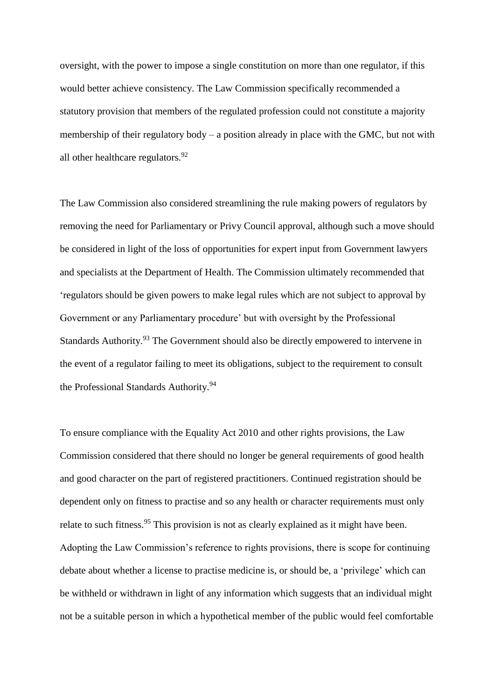oversight, with the power to impose a single constitution on more than one regulator, if this would better achieve consistency. The Law Commission specifically recommended a statutory provision that members of the regulated profession could not constitute a majority membership of their regulatory body – a position already in place with the GMC, but not with all other healthcare regulators.<sup>92</sup>

The Law Commission also considered streamlining the rule making powers of regulators by removing the need for Parliamentary or Privy Council approval, although such a move should be considered in light of the loss of opportunities for expert input from Government lawyers and specialists at the Department of Health. The Commission ultimately recommended that 'regulators should be given powers to make legal rules which are not subject to approval by Government or any Parliamentary procedure' but with oversight by the Professional Standards Authority.<sup>93</sup> The Government should also be directly empowered to intervene in the event of a regulator failing to meet its obligations, subject to the requirement to consult the Professional Standards Authority.<sup>94</sup>

To ensure compliance with the Equality Act 2010 and other rights provisions, the Law Commission considered that there should no longer be general requirements of good health and good character on the part of registered practitioners. Continued registration should be dependent only on fitness to practise and so any health or character requirements must only relate to such fitness.<sup>95</sup> This provision is not as clearly explained as it might have been. Adopting the Law Commission's reference to rights provisions, there is scope for continuing debate about whether a license to practise medicine is, or should be, a 'privilege' which can be withheld or withdrawn in light of any information which suggests that an individual might not be a suitable person in which a hypothetical member of the public would feel comfortable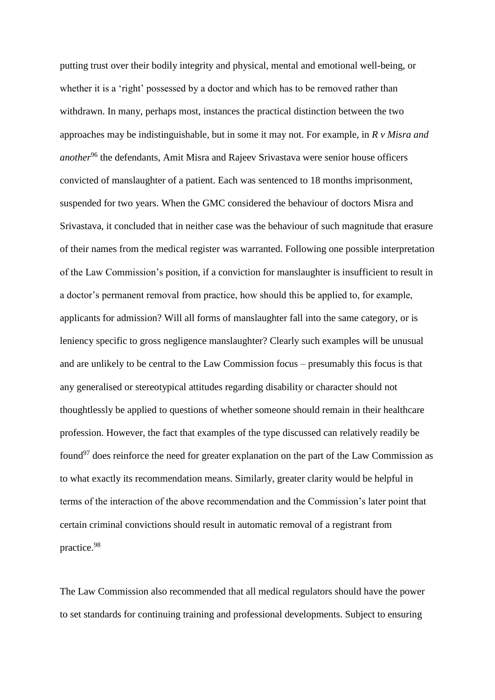putting trust over their bodily integrity and physical, mental and emotional well-being, or whether it is a 'right' possessed by a doctor and which has to be removed rather than withdrawn. In many, perhaps most, instances the practical distinction between the two approaches may be indistinguishable, but in some it may not. For example, in *R v Misra and another*<sup>96</sup> the defendants, Amit Misra and Rajeev Srivastava were senior house officers convicted of manslaughter of a patient. Each was sentenced to 18 months imprisonment, suspended for two years. When the GMC considered the behaviour of doctors Misra and Srivastava, it concluded that in neither case was the behaviour of such magnitude that erasure of their names from the medical register was warranted. Following one possible interpretation of the Law Commission's position, if a conviction for manslaughter is insufficient to result in a doctor's permanent removal from practice, how should this be applied to, for example, applicants for admission? Will all forms of manslaughter fall into the same category, or is leniency specific to gross negligence manslaughter? Clearly such examples will be unusual and are unlikely to be central to the Law Commission focus – presumably this focus is that any generalised or stereotypical attitudes regarding disability or character should not thoughtlessly be applied to questions of whether someone should remain in their healthcare profession. However, the fact that examples of the type discussed can relatively readily be found<sup>97</sup> does reinforce the need for greater explanation on the part of the Law Commission as to what exactly its recommendation means. Similarly, greater clarity would be helpful in terms of the interaction of the above recommendation and the Commission's later point that certain criminal convictions should result in automatic removal of a registrant from practice. 98

The Law Commission also recommended that all medical regulators should have the power to set standards for continuing training and professional developments. Subject to ensuring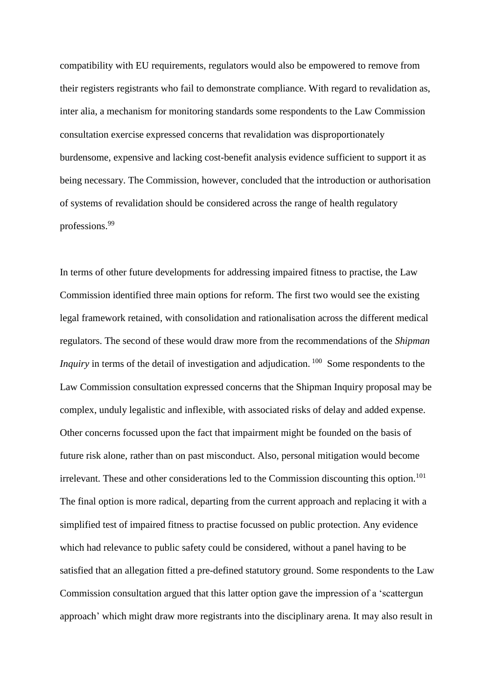compatibility with EU requirements, regulators would also be empowered to remove from their registers registrants who fail to demonstrate compliance. With regard to revalidation as, inter alia, a mechanism for monitoring standards some respondents to the Law Commission consultation exercise expressed concerns that revalidation was disproportionately burdensome, expensive and lacking cost-benefit analysis evidence sufficient to support it as being necessary. The Commission, however, concluded that the introduction or authorisation of systems of revalidation should be considered across the range of health regulatory professions.<sup>99</sup>

In terms of other future developments for addressing impaired fitness to practise, the Law Commission identified three main options for reform. The first two would see the existing legal framework retained, with consolidation and rationalisation across the different medical regulators. The second of these would draw more from the recommendations of the *Shipman Inquiry* in terms of the detail of investigation and adjudication. <sup>100</sup> Some respondents to the Law Commission consultation expressed concerns that the Shipman Inquiry proposal may be complex, unduly legalistic and inflexible, with associated risks of delay and added expense. Other concerns focussed upon the fact that impairment might be founded on the basis of future risk alone, rather than on past misconduct. Also, personal mitigation would become irrelevant. These and other considerations led to the Commission discounting this option.<sup>101</sup> The final option is more radical, departing from the current approach and replacing it with a simplified test of impaired fitness to practise focussed on public protection. Any evidence which had relevance to public safety could be considered, without a panel having to be satisfied that an allegation fitted a pre-defined statutory ground. Some respondents to the Law Commission consultation argued that this latter option gave the impression of a 'scattergun approach' which might draw more registrants into the disciplinary arena. It may also result in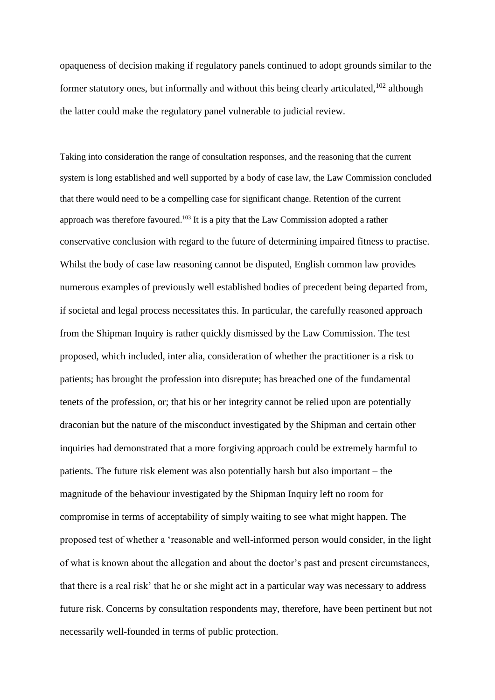opaqueness of decision making if regulatory panels continued to adopt grounds similar to the former statutory ones, but informally and without this being clearly articulated,  $102$  although the latter could make the regulatory panel vulnerable to judicial review.

Taking into consideration the range of consultation responses, and the reasoning that the current system is long established and well supported by a body of case law, the Law Commission concluded that there would need to be a compelling case for significant change. Retention of the current approach was therefore favoured.<sup>103</sup> It is a pity that the Law Commission adopted a rather conservative conclusion with regard to the future of determining impaired fitness to practise. Whilst the body of case law reasoning cannot be disputed, English common law provides numerous examples of previously well established bodies of precedent being departed from, if societal and legal process necessitates this. In particular, the carefully reasoned approach from the Shipman Inquiry is rather quickly dismissed by the Law Commission. The test proposed, which included, inter alia, consideration of whether the practitioner is a risk to patients; has brought the profession into disrepute; has breached one of the fundamental tenets of the profession, or; that his or her integrity cannot be relied upon are potentially draconian but the nature of the misconduct investigated by the Shipman and certain other inquiries had demonstrated that a more forgiving approach could be extremely harmful to patients. The future risk element was also potentially harsh but also important – the magnitude of the behaviour investigated by the Shipman Inquiry left no room for compromise in terms of acceptability of simply waiting to see what might happen. The proposed test of whether a 'reasonable and well-informed person would consider, in the light of what is known about the allegation and about the doctor's past and present circumstances, that there is a real risk' that he or she might act in a particular way was necessary to address future risk. Concerns by consultation respondents may, therefore, have been pertinent but not necessarily well-founded in terms of public protection.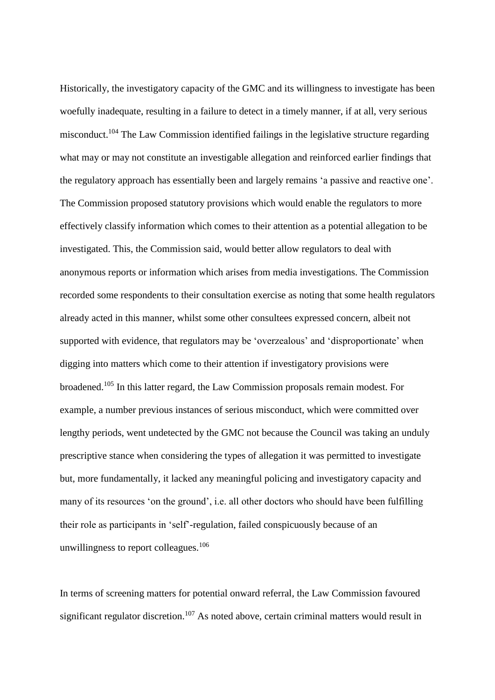Historically, the investigatory capacity of the GMC and its willingness to investigate has been woefully inadequate, resulting in a failure to detect in a timely manner, if at all, very serious misconduct.<sup>104</sup> The Law Commission identified failings in the legislative structure regarding what may or may not constitute an investigable allegation and reinforced earlier findings that the regulatory approach has essentially been and largely remains 'a passive and reactive one'. The Commission proposed statutory provisions which would enable the regulators to more effectively classify information which comes to their attention as a potential allegation to be investigated. This, the Commission said, would better allow regulators to deal with anonymous reports or information which arises from media investigations. The Commission recorded some respondents to their consultation exercise as noting that some health regulators already acted in this manner, whilst some other consultees expressed concern, albeit not supported with evidence, that regulators may be 'overzealous' and 'disproportionate' when digging into matters which come to their attention if investigatory provisions were broadened. <sup>105</sup> In this latter regard, the Law Commission proposals remain modest. For example, a number previous instances of serious misconduct, which were committed over lengthy periods, went undetected by the GMC not because the Council was taking an unduly prescriptive stance when considering the types of allegation it was permitted to investigate but, more fundamentally, it lacked any meaningful policing and investigatory capacity and many of its resources 'on the ground', i.e. all other doctors who should have been fulfilling their role as participants in 'self'-regulation, failed conspicuously because of an unwillingness to report colleagues. $106$ 

In terms of screening matters for potential onward referral, the Law Commission favoured significant regulator discretion.<sup>107</sup> As noted above, certain criminal matters would result in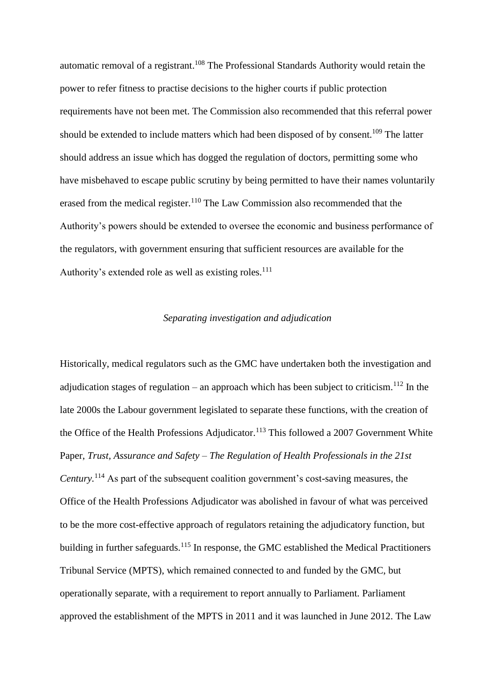automatic removal of a registrant.<sup>108</sup> The Professional Standards Authority would retain the power to refer fitness to practise decisions to the higher courts if public protection requirements have not been met. The Commission also recommended that this referral power should be extended to include matters which had been disposed of by consent.<sup>109</sup> The latter should address an issue which has dogged the regulation of doctors, permitting some who have misbehaved to escape public scrutiny by being permitted to have their names voluntarily erased from the medical register.<sup>110</sup> The Law Commission also recommended that the Authority's powers should be extended to oversee the economic and business performance of the regulators, with government ensuring that sufficient resources are available for the Authority's extended role as well as existing roles. $^{111}$ 

#### *Separating investigation and adjudication*

Historically, medical regulators such as the GMC have undertaken both the investigation and adjudication stages of regulation – an approach which has been subject to criticism.<sup>112</sup> In the late 2000s the Labour government legislated to separate these functions, with the creation of the Office of the Health Professions Adjudicator.<sup>113</sup> This followed a 2007 Government White Paper, *Trust, Assurance and Safety – The Regulation of Health Professionals in the 21st Century.*<sup>114</sup> As part of the subsequent coalition government's cost-saving measures, the Office of the Health Professions Adjudicator was abolished in favour of what was perceived to be the more cost-effective approach of regulators retaining the adjudicatory function, but building in further safeguards.<sup>115</sup> In response, the GMC established the Medical Practitioners Tribunal Service (MPTS), which remained connected to and funded by the GMC, but operationally separate, with a requirement to report annually to Parliament. Parliament approved the establishment of the MPTS in 2011 and it was launched in June 2012. The Law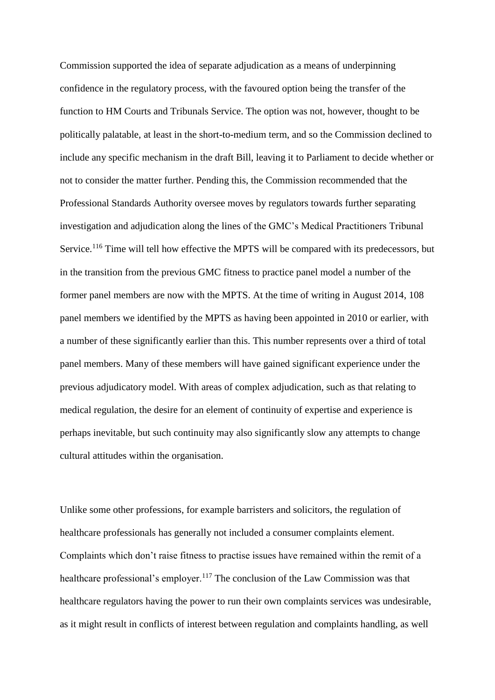Commission supported the idea of separate adjudication as a means of underpinning confidence in the regulatory process, with the favoured option being the transfer of the function to HM Courts and Tribunals Service. The option was not, however, thought to be politically palatable, at least in the short-to-medium term, and so the Commission declined to include any specific mechanism in the draft Bill, leaving it to Parliament to decide whether or not to consider the matter further. Pending this, the Commission recommended that the Professional Standards Authority oversee moves by regulators towards further separating investigation and adjudication along the lines of the GMC's Medical Practitioners Tribunal Service.<sup>116</sup> Time will tell how effective the MPTS will be compared with its predecessors, but in the transition from the previous GMC fitness to practice panel model a number of the former panel members are now with the MPTS. At the time of writing in August 2014, 108 panel members we identified by the MPTS as having been appointed in 2010 or earlier, with a number of these significantly earlier than this. This number represents over a third of total panel members. Many of these members will have gained significant experience under the previous adjudicatory model. With areas of complex adjudication, such as that relating to medical regulation, the desire for an element of continuity of expertise and experience is perhaps inevitable, but such continuity may also significantly slow any attempts to change cultural attitudes within the organisation.

Unlike some other professions, for example barristers and solicitors, the regulation of healthcare professionals has generally not included a consumer complaints element. Complaints which don't raise fitness to practise issues have remained within the remit of a healthcare professional's employer.<sup>117</sup> The conclusion of the Law Commission was that healthcare regulators having the power to run their own complaints services was undesirable, as it might result in conflicts of interest between regulation and complaints handling, as well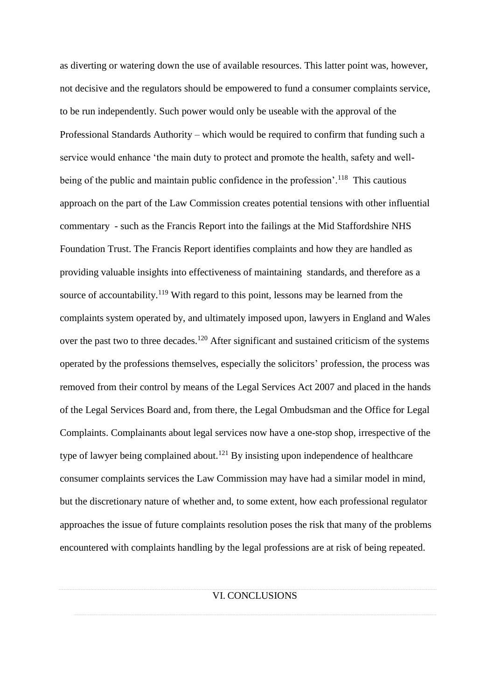as diverting or watering down the use of available resources. This latter point was, however, not decisive and the regulators should be empowered to fund a consumer complaints service, to be run independently. Such power would only be useable with the approval of the Professional Standards Authority – which would be required to confirm that funding such a service would enhance 'the main duty to protect and promote the health, safety and wellbeing of the public and maintain public confidence in the profession'.<sup>118</sup> This cautious approach on the part of the Law Commission creates potential tensions with other influential commentary - such as the Francis Report into the failings at the Mid Staffordshire NHS Foundation Trust. The Francis Report identifies complaints and how they are handled as providing valuable insights into effectiveness of maintaining standards, and therefore as a source of accountability.<sup>119</sup> With regard to this point, lessons may be learned from the complaints system operated by, and ultimately imposed upon, lawyers in England and Wales over the past two to three decades.<sup>120</sup> After significant and sustained criticism of the systems operated by the professions themselves, especially the solicitors' profession, the process was removed from their control by means of the Legal Services Act 2007 and placed in the hands of the Legal Services Board and, from there, the Legal Ombudsman and the Office for Legal Complaints. Complainants about legal services now have a one-stop shop, irrespective of the type of lawyer being complained about.<sup>121</sup> By insisting upon independence of healthcare consumer complaints services the Law Commission may have had a similar model in mind, but the discretionary nature of whether and, to some extent, how each professional regulator approaches the issue of future complaints resolution poses the risk that many of the problems encountered with complaints handling by the legal professions are at risk of being repeated.

### VI. CONCLUSIONS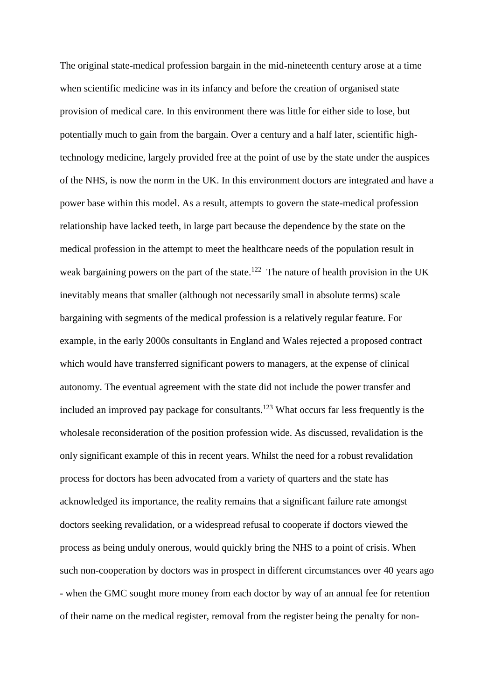The original state-medical profession bargain in the mid-nineteenth century arose at a time when scientific medicine was in its infancy and before the creation of organised state provision of medical care. In this environment there was little for either side to lose, but potentially much to gain from the bargain. Over a century and a half later, scientific hightechnology medicine, largely provided free at the point of use by the state under the auspices of the NHS, is now the norm in the UK. In this environment doctors are integrated and have a power base within this model. As a result, attempts to govern the state-medical profession relationship have lacked teeth, in large part because the dependence by the state on the medical profession in the attempt to meet the healthcare needs of the population result in weak bargaining powers on the part of the state.<sup>122</sup> The nature of health provision in the UK inevitably means that smaller (although not necessarily small in absolute terms) scale bargaining with segments of the medical profession is a relatively regular feature. For example, in the early 2000s consultants in England and Wales rejected a proposed contract which would have transferred significant powers to managers, at the expense of clinical autonomy. The eventual agreement with the state did not include the power transfer and included an improved pay package for consultants. <sup>123</sup> What occurs far less frequently is the wholesale reconsideration of the position profession wide. As discussed, revalidation is the only significant example of this in recent years. Whilst the need for a robust revalidation process for doctors has been advocated from a variety of quarters and the state has acknowledged its importance, the reality remains that a significant failure rate amongst doctors seeking revalidation, or a widespread refusal to cooperate if doctors viewed the process as being unduly onerous, would quickly bring the NHS to a point of crisis. When such non-cooperation by doctors was in prospect in different circumstances over 40 years ago - when the GMC sought more money from each doctor by way of an annual fee for retention of their name on the medical register, removal from the register being the penalty for non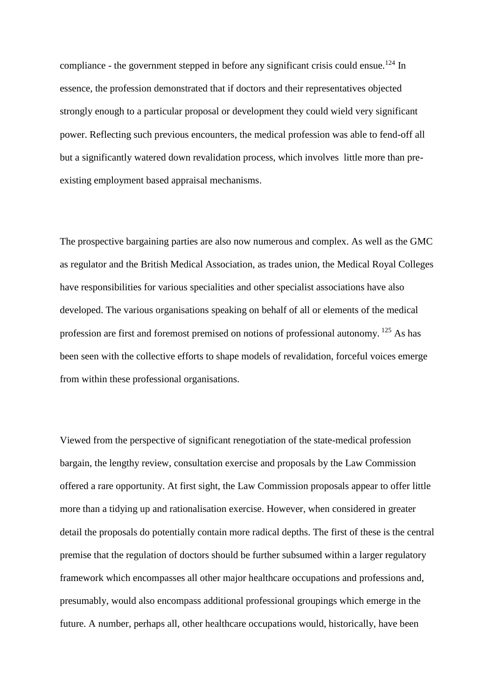compliance - the government stepped in before any significant crisis could ensue.<sup>124</sup> In essence, the profession demonstrated that if doctors and their representatives objected strongly enough to a particular proposal or development they could wield very significant power. Reflecting such previous encounters, the medical profession was able to fend-off all but a significantly watered down revalidation process, which involves little more than preexisting employment based appraisal mechanisms.

The prospective bargaining parties are also now numerous and complex. As well as the GMC as regulator and the British Medical Association, as trades union, the Medical Royal Colleges have responsibilities for various specialities and other specialist associations have also developed. The various organisations speaking on behalf of all or elements of the medical profession are first and foremost premised on notions of professional autonomy. <sup>125</sup> As has been seen with the collective efforts to shape models of revalidation, forceful voices emerge from within these professional organisations.

Viewed from the perspective of significant renegotiation of the state-medical profession bargain, the lengthy review, consultation exercise and proposals by the Law Commission offered a rare opportunity. At first sight, the Law Commission proposals appear to offer little more than a tidying up and rationalisation exercise. However, when considered in greater detail the proposals do potentially contain more radical depths. The first of these is the central premise that the regulation of doctors should be further subsumed within a larger regulatory framework which encompasses all other major healthcare occupations and professions and, presumably, would also encompass additional professional groupings which emerge in the future. A number, perhaps all, other healthcare occupations would, historically, have been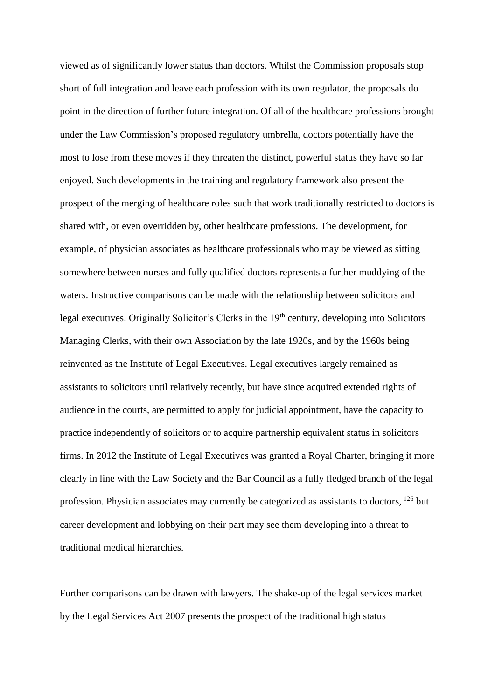viewed as of significantly lower status than doctors. Whilst the Commission proposals stop short of full integration and leave each profession with its own regulator, the proposals do point in the direction of further future integration. Of all of the healthcare professions brought under the Law Commission's proposed regulatory umbrella, doctors potentially have the most to lose from these moves if they threaten the distinct, powerful status they have so far enjoyed. Such developments in the training and regulatory framework also present the prospect of the merging of healthcare roles such that work traditionally restricted to doctors is shared with, or even overridden by, other healthcare professions. The development, for example, of physician associates as healthcare professionals who may be viewed as sitting somewhere between nurses and fully qualified doctors represents a further muddying of the waters. Instructive comparisons can be made with the relationship between solicitors and legal executives. Originally Solicitor's Clerks in the 19<sup>th</sup> century, developing into Solicitors Managing Clerks, with their own Association by the late 1920s, and by the 1960s being reinvented as the Institute of Legal Executives. Legal executives largely remained as assistants to solicitors until relatively recently, but have since acquired extended rights of audience in the courts, are permitted to apply for judicial appointment, have the capacity to practice independently of solicitors or to acquire partnership equivalent status in solicitors firms. In 2012 the Institute of Legal Executives was granted a Royal Charter, bringing it more clearly in line with the Law Society and the Bar Council as a fully fledged branch of the legal profession. Physician associates may currently be categorized as assistants to doctors,  $^{126}$  but career development and lobbying on their part may see them developing into a threat to traditional medical hierarchies.

Further comparisons can be drawn with lawyers. The shake-up of the legal services market by the Legal Services Act 2007 presents the prospect of the traditional high status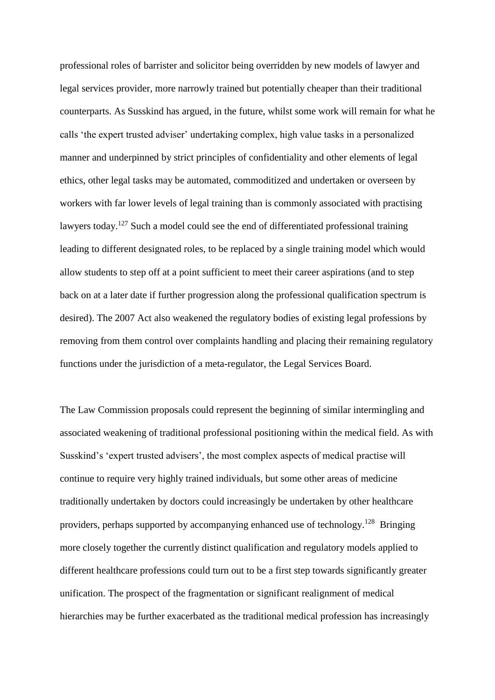professional roles of barrister and solicitor being overridden by new models of lawyer and legal services provider, more narrowly trained but potentially cheaper than their traditional counterparts. As Susskind has argued, in the future, whilst some work will remain for what he calls 'the expert trusted adviser' undertaking complex, high value tasks in a personalized manner and underpinned by strict principles of confidentiality and other elements of legal ethics, other legal tasks may be automated, commoditized and undertaken or overseen by workers with far lower levels of legal training than is commonly associated with practising lawyers today.<sup>127</sup> Such a model could see the end of differentiated professional training leading to different designated roles, to be replaced by a single training model which would allow students to step off at a point sufficient to meet their career aspirations (and to step back on at a later date if further progression along the professional qualification spectrum is desired). The 2007 Act also weakened the regulatory bodies of existing legal professions by removing from them control over complaints handling and placing their remaining regulatory functions under the jurisdiction of a meta-regulator, the Legal Services Board.

The Law Commission proposals could represent the beginning of similar intermingling and associated weakening of traditional professional positioning within the medical field. As with Susskind's 'expert trusted advisers', the most complex aspects of medical practise will continue to require very highly trained individuals, but some other areas of medicine traditionally undertaken by doctors could increasingly be undertaken by other healthcare providers, perhaps supported by accompanying enhanced use of technology.<sup>128</sup> Bringing more closely together the currently distinct qualification and regulatory models applied to different healthcare professions could turn out to be a first step towards significantly greater unification. The prospect of the fragmentation or significant realignment of medical hierarchies may be further exacerbated as the traditional medical profession has increasingly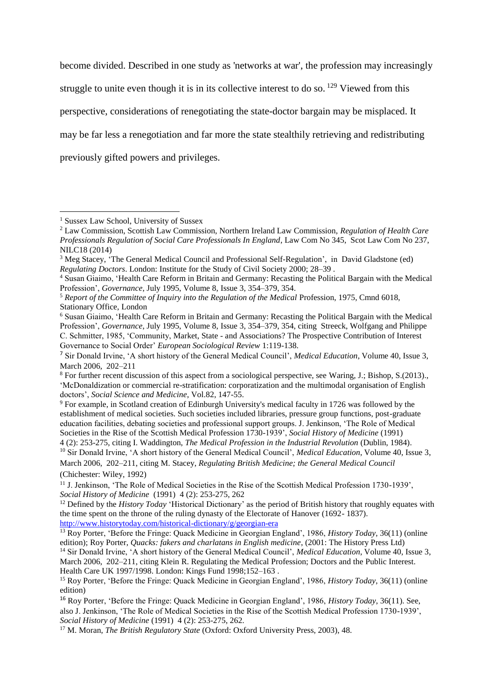become divided. Described in one study as 'networks at war', the profession may increasingly struggle to unite even though it is in its collective interest to do so.  $129$  Viewed from this perspective, considerations of renegotiating the state-doctor bargain may be misplaced. It may be far less a renegotiation and far more the state stealthily retrieving and redistributing previously gifted powers and privileges.

1

<sup>&</sup>lt;sup>1</sup> Sussex Law School, University of Sussex

<sup>2</sup> Law Commission, Scottish Law Commission, Northern Ireland Law Commission, *Regulation of Health Care Professionals Regulation of Social Care Professionals In England*, Law Com No 345, Scot Law Com No 237, NILC18 (2014)

<sup>3</sup> Meg Stacey, 'The General Medical Council and Professional Self-Regulation', in David Gladstone (ed) *Regulating Doctors*. London: Institute for the Study of Civil Society 2000; 28–39 .

<sup>4</sup> Susan Giaimo, ['Health Care Reform in Britain and Germany: Recasting the Political Bargain with the Medical](http://onlinelibrary.wiley.com.ezproxy.sussex.ac.uk/doi/10.1111/j.1468-0491.1995.tb00215.x/abstract)  Profession', *Governance*[, July 1995, Volume 8,](http://onlinelibrary.wiley.com.ezproxy.sussex.ac.uk/doi/10.1111/j.1468-0491.1995.tb00215.x/abstract) Issue 3, 354–379, 354.

<sup>5</sup> *Report of the Committee of Inquiry into the Regulation of the Medical* Profession, 1975, Cmnd 6018, Stationary Office, London

<sup>6</sup> Susan Giaimo, ['Health Care Reform in Britain and Germany: Recasting the Political Bargain with the Medical](http://onlinelibrary.wiley.com.ezproxy.sussex.ac.uk/doi/10.1111/j.1468-0491.1995.tb00215.x/abstract)  Profession', *Governance*[, July 1995, Volume 8,](http://onlinelibrary.wiley.com.ezproxy.sussex.ac.uk/doi/10.1111/j.1468-0491.1995.tb00215.x/abstract) Issue 3, 354–379, 354, citing Streeck, Wolfgang and Philippe C. Schmitter, 1985, 'Community, Market, State - and Associations? The Prospective Contribution of Interest Governance to Social Order' *European Sociological Review* 1:119-138.

<sup>7</sup> Sir Donald Irvine, 'A short history of the General Medical Council', *Medical Education*, [Volume 40, Issue 3,](http://onlinelibrary.wiley.com.ezproxy.sussex.ac.uk/doi/10.1111/med.2006.40.issue-3/issuetoc) March 2006, 202–211

<sup>8</sup> For further recent discussion of this aspect from a sociological perspective, see Waring, J.; Bishop, S.(2013)., 'McDonaldization or commercial re-stratification: corporatization and the multimodal organisation of English doctors', *Social Science and Medicine*, Vol.82, 147-55.

<sup>9</sup> For example, in Scotland creation of Edinburgh University's medical faculty in 1726 was followed by the establishment of medical societies. Such societies included libraries, pressure group functions, post-graduate education facilities, debating societies and professional support groups. J. Jenkinson, 'The Role of Medical Societies in the Rise of the Scottish Medical Profession 1730-1939', *Social History of Medicine* (1991) 4 (2): 253-275, citing I. Waddington, *The Medical Profession in the Industrial Revolution* (Dublin, 1984).

<sup>10</sup> Sir Donald Irvine, 'A short history of the General Medical Council', *Medical Education*, [Volume 40, Issue 3,](http://onlinelibrary.wiley.com.ezproxy.sussex.ac.uk/doi/10.1111/med.2006.40.issue-3/issuetoc) March 2006, 202–211, citing M. Stacey, *Regulating British Medicine; the General Medical Council* (Chichester: Wiley, 1992)

<sup>&</sup>lt;sup>11</sup> J. Jenkinson, 'The Role of Medical Societies in the Rise of the Scottish Medical Profession 1730-1939', *Social History of Medicine* (1991) 4 (2): 253-275, 262

<sup>&</sup>lt;sup>12</sup> Defined by the *History Today* 'Historical Dictionary' as the period of British history that roughly equates with the time spent on the throne of the ruling dynasty of the Electorate of Hanover (1692- 1837). <http://www.historytoday.com/historical-dictionary/g/georgian-era>

<sup>13</sup> [Roy Porter,](http://www.historytoday.com/taxonomy/term/105) 'Before the Fringe: Quack Medicine in Georgian England', 1986, *[History Today](http://www.historytoday.com/taxonomy/term/43)*, [36\(11\)](http://www.historytoday.com/taxonomy/term/227) (online edition); Roy Porter, *Quacks: fakers and charlatans in English medicine*, (2001: The History Press Ltd) <sup>14</sup> Sir Donald Irvine, 'A short history of the General Medical Council', *Medical Education*, [Volume 40, Issue 3,](http://onlinelibrary.wiley.com.ezproxy.sussex.ac.uk/doi/10.1111/med.2006.40.issue-3/issuetoc)

March 2006, 202–211, citing Klein R. Regulating the Medical Profession; Doctors and the Public Interest. Health Care UK 1997/1998. London: Kings Fund 1998;152–163 .

<sup>15</sup> [Roy Porter,](http://www.historytoday.com/taxonomy/term/105) 'Before the Fringe: Quack Medicine in Georgian England', 1986, *[History Today](http://www.historytoday.com/taxonomy/term/43)*, [36\(11\)](http://www.historytoday.com/taxonomy/term/227) (online edition)

<sup>16</sup> [Roy Porter,](http://www.historytoday.com/taxonomy/term/105) 'Before the Fringe: Quack Medicine in Georgian England', 1986, *[History Today](http://www.historytoday.com/taxonomy/term/43)*, [36\(11\).](http://www.historytoday.com/taxonomy/term/227) See, also J. Jenkinson, 'The Role of Medical Societies in the Rise of the Scottish Medical Profession 1730-1939', *Social History of Medicine* (1991) 4 (2): 253-275, 262.

<sup>17</sup> M. Moran, *The British Regulatory State* (Oxford: Oxford University Press, 2003), 48.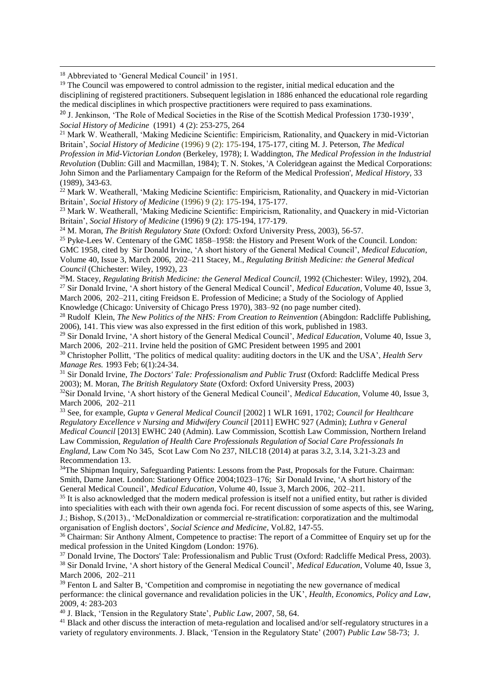<sup>18</sup> Abbreviated to 'General Medical Council' in 1951.

1

<sup>19</sup> The Council was empowered to control admission to the register, initial medical education and the disciplining of registered practitioners. Subsequent legislation in 1886 enhanced the educational role regarding the medical disciplines in which prospective practitioners were required to pass examinations.

<sup>21</sup> Mark W. Weatherall, 'Making Medicine Scientific: Empiricism, Rationality, and Quackery in mid-Victorian Britain', *Social History of Medicine* (1996) 9 (2): 175-194, 175-177, citing M. J. Peterson, *The Medical Profession in Mid-Victorian London* (Berkeley, 1978); I. Waddington, *The Medical Profession in the Industrial Revolution* (Dublin: Gill and Macmillan, 1984); T. N. Stokes, 'A Coleridgean against the Medical Corporations: John Simon and the Parliamentary Campaign for the Reform of the Medical Profession', *Medical History,* 33 (1989), 343-63.

<sup>23</sup> Mark W. Weatherall, 'Making Medicine Scientific: Empiricism, Rationality, and Quackery in mid-Victorian Britain', *Social History of Medicine* (1996) 9 (2): 175-194, 177-179.

<sup>24</sup> M. Moran, *The British Regulatory State* (Oxford: Oxford University Press, 2003), 56-57.

<sup>25</sup> Pyke-Lees W. Centenary of the GMC 1858–1958: the History and Present Work of the Council. London: GMC 1958, cited by Sir Donald Irvine, 'A short history of the General Medical Council', *Medical Education*, [Volume 40, Issue 3,](http://onlinelibrary.wiley.com.ezproxy.sussex.ac.uk/doi/10.1111/med.2006.40.issue-3/issuetoc) March 2006, 202–211 Stacey, M., *Regulating British Medicine: the General Medical Council* (Chichester: Wiley, 1992), 23

<sup>26</sup>M. Stacey, *Regulating British Medicine: the General Medical Council*, 1992 (Chichester: Wiley, 1992), 204. <sup>27</sup> Sir Donald Irvine, 'A short history of the General Medical Council', *Medical Education*, [Volume 40, Issue 3,](http://onlinelibrary.wiley.com.ezproxy.sussex.ac.uk/doi/10.1111/med.2006.40.issue-3/issuetoc) March 2006, 202–211, citing Freidson E. Profession of Medicine; a Study of the Sociology of Applied Knowledge (Chicago: University of Chicago Press 1970), 383–92 (no page number cited).

<sup>28</sup> Rudolf Klein, *The New Politics of the NHS: From Creation to Reinvention* (Abingdon: Radcliffe Publishing, 2006), 141. This view was also expressed in the first edition of this work, published in 1983.

<sup>29</sup> Sir Donald Irvine, 'A short history of the General Medical Council', *Medical Education*, [Volume 40, Issue 3,](http://onlinelibrary.wiley.com.ezproxy.sussex.ac.uk/doi/10.1111/med.2006.40.issue-3/issuetoc) March 2006, 202–211. Irvine held the position of GMC President between 1995 and 2001

<sup>30</sup> Christopher Pollitt, 'The politics of medical quality: auditing doctors in the UK and the USA', *[Health Serv](http://www.ncbi.nlm.nih.gov/pubmed/10124349)  [Manage Res.](http://www.ncbi.nlm.nih.gov/pubmed/10124349)* 1993 Feb; 6(1):24-34.

<sup>31</sup> Sir Donald Irvine, *The Doctors' Tale: Professionalism and Public Trust* (Oxford: Radcliffe Medical Press 2003); M. Moran, *The British Regulatory State* (Oxford: Oxford University Press, 2003)

<sup>32</sup>Sir Donald Irvine, 'A short history of the General Medical Council', *Medical Education*[, Volume 40, Issue 3,](http://onlinelibrary.wiley.com.ezproxy.sussex.ac.uk/doi/10.1111/med.2006.40.issue-3/issuetoc) March 2006, 202–211

<sup>33</sup> See, for example, *Gupta v General Medical Council* [2002] 1 WLR 1691, 1702; *Council for Healthcare Regulatory Excellence v Nursing and Midwifery Council* [2011] EWHC 927 (Admin); *Luthra v General Medical Council* [2013] EWHC 240 (Admin). Law Commission, Scottish Law Commission, Northern Ireland Law Commission, *Regulation of Health Care Professionals Regulation of Social Care Professionals In England*, Law Com No 345, Scot Law Com No 237, NILC18 (2014) at paras 3.2, 3.14, 3.21-3.23 and Recommendation 13.

<sup>34</sup>The Shipman Inquiry, Safeguarding Patients: Lessons from the Past, Proposals for the Future. Chairman: Smith, Dame Janet. London: Stationery Office 2004;1023–176; Sir Donald Irvine, 'A short history of the General Medical Council', *Medical Education*, [Volume 40, Issue 3,](http://onlinelibrary.wiley.com.ezproxy.sussex.ac.uk/doi/10.1111/med.2006.40.issue-3/issuetoc) March 2006, 202–211.

<sup>35</sup> It is also acknowledged that the modern medical profession is itself not a unified entity, but rather is divided into specialities with each with their own agenda foci. For recent discussion of some aspects of this, see Waring, J.; Bishop, S.(2013)., 'McDonaldization or commercial re-stratification: corporatization and the multimodal organisation of English doctors', *Social Science and Medicine*, Vol.82, 147-55.

<sup>36</sup> Chairman: Sir Anthony Alment, Competence to practise: The report of a Committee of Enquiry set up for the medical profession in the United Kingdom (London: 1976).

<sup>37</sup> Donald Irvine, The Doctors' Tale: Professionalism and Public Trust (Oxford: Radcliffe Medical Press, 2003). <sup>38</sup> Sir Donald Irvine, 'A short history of the General Medical Council', *Medical Education*, [Volume 40, Issue 3,](http://onlinelibrary.wiley.com.ezproxy.sussex.ac.uk/doi/10.1111/med.2006.40.issue-3/issuetoc) March 2006, 202-211

<sup>39</sup> Fenton L and Salter B, 'Competition and compromise in negotiating the new governance of medical performance: the clinical governance and revalidation policies in the UK', *Health, Economics, Policy and Law*, 2009, 4: 283-203

<sup>40</sup> J. Black, 'Tension in the Regulatory State', *Public Law*, 2007, 58, 64.

<sup>41</sup> Black and other discuss the interaction of meta-regulation and localised and/or self-regulatory structures in a variety of regulatory environments. J. Black, 'Tension in the Regulatory State' (2007) *Public Law* 58-73; J.

<sup>&</sup>lt;sup>20</sup> J. Jenkinson, 'The Role of Medical Societies in the Rise of the Scottish Medical Profession 1730-1939'. *Social History of Medicine* (1991) 4 (2): 253-275, 264

<sup>&</sup>lt;sup>22</sup> Mark W. Weatherall, 'Making Medicine Scientific: Empiricism, Rationality, and Quackery in mid-Victorian Britain', *Social History of Medicine* (1996) 9 (2): 175-194, 175-177.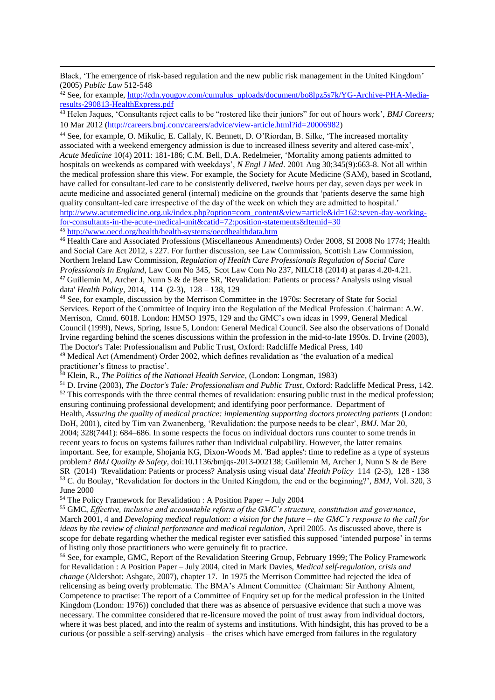Black, 'The emergence of risk-based regulation and the new public risk management in the United Kingdom' (2005) *Public Law* 512-548

<sup>42</sup> See, for example, [http://cdn.yougov.com/cumulus\\_uploads/document/bo8lpz5s7k/YG-Archive-PHA-Media](http://cdn.yougov.com/cumulus_uploads/document/bo8lpz5s7k/YG-Archive-PHA-Media-results-290813-HealthExpress.pdf)[results-290813-HealthExpress.pdf](http://cdn.yougov.com/cumulus_uploads/document/bo8lpz5s7k/YG-Archive-PHA-Media-results-290813-HealthExpress.pdf)

<sup>43</sup> Helen Jaques, 'Consultants reject calls to be "rostered like their juniors" for out of hours work', *BMJ Careers;*  10 Mar 2012 [\(http://careers.bmj.com/careers/advice/view-article.html?id=20006982\)](http://careers.bmj.com/careers/advice/view-article.html?id=20006982)

<sup>44</sup> See, for example, O. Mikulic, E. Callaly, K. Bennett, D. O'Riordan, B. Silke, 'The increased mortality associated with a weekend emergency admission is due to increased illness severity and altered case-mix', *Acute Medicine* 10(4) 2011: 181-186; C.M. Bell, D.A. Redelmeier, 'Mortality among patients admitted to hospitals on weekends as compared with weekdays', *N Engl J Med*. 2001 Aug 30;345(9):663-8. Not all within the medical profession share this view. For example, the Society for Acute Medicine (SAM), based in Scotland, have called for consultant-led care to be consistently delivered, twelve hours per day, seven days per week in acute medicine and associated general (internal) medicine on the grounds that 'patients deserve the same high quality consultant-led care irrespective of the day of the week on which they are admitted to hospital.' [http://www.acutemedicine.org.uk/index.php?option=com\\_content&view=article&id=162:seven-day-working](http://www.acutemedicine.org.uk/index.php?option=com_content&view=article&id=162:seven-day-working-for-consultants-in-the-acute-medical-unit&catid=72:position-statements&Itemid=30)[for-consultants-in-the-acute-medical-unit&catid=72:position-statements&Itemid=30](http://www.acutemedicine.org.uk/index.php?option=com_content&view=article&id=162:seven-day-working-for-consultants-in-the-acute-medical-unit&catid=72:position-statements&Itemid=30)

<sup>45</sup> <http://www.oecd.org/health/health-systems/oecdhealthdata.htm>

1

<sup>46</sup> Health Care and Associated Professions (Miscellaneous Amendments) Order 2008, SI 2008 No 1774; Health and Social Care Act 2012, s 227. For further discussion, see Law Commission, Scottish Law Commission, Northern Ireland Law Commission, *Regulation of Health Care Professionals Regulation of Social Care Professionals In England*, Law Com No 345, Scot Law Com No 237, NILC18 (2014) at paras 4.20-4.21. <sup>47</sup> Guillemin M, Archer J, Nunn S & de Bere SR, 'Revalidation: Patients or process? Analysis using visual data' *Health Policy,* 2014, 114 (2-3), 128 – 138, 129

<sup>48</sup> See, for example, discussion by the Merrison Committee in the 1970s: Secretary of State for Social Services. Report of the Committee of Inquiry into the Regulation of the Medical Profession *.*Chairman: A.W. Merrison, Cmnd. 6018. London: HMSO 1975, 129 and the GMC's own ideas in 1999, General Medical Council (1999), News, Spring, Issue 5, London: General Medical Council. See also the observations of Donald Irvine regarding behind the scenes discussions within the profession in the mid-to-late 1990s. D. Irvine (2003), The Doctor's Tale: Professionalism and Public Trust, Oxford: Radcliffe Medical Press, 140

<sup>49</sup> Medical Act (Amendment) Order 2002, which defines revalidation as 'the evaluation of a medical practitioner's fitness to practise'.

<sup>50</sup> Klein, R., *The Politics of the National Health Service*, (London: Longman, 1983)

<sup>51</sup> D. Irvine (2003), *The Doctor's Tale: Professionalism and Public Trust*, Oxford: Radcliffe Medical Press, 142.  $52$  This corresponds with the three central themes of revalidation: ensuring public trust in the medical profession; ensuring continuing professional development; and identifying poor performance. Department of Health, *Assuring the quality of medical practice: implementing supporting doctors protecting patients* (London: DoH, 2001), cited by [Tim van Zwanenberg,](http://www.ncbi.nlm.nih.gov/pubmed/?term=van%20Zwanenberg%20T%5Bauth%5D) 'Revalidation: the purpose needs to be clear', *BMJ*. Mar 20, 2004; 328(7441): 684–686. In some respects the focus on individual doctors runs counter to some trends in recent years to focus on systems failures rather than individual culpability. However, the latter remains important. See, for example, Shojania KG, Dixon-Woods M. ['Bad apples': time to redefine as a type of systems](http://qualitysafety.bmj.com/content/early/2013/06/05/bmjqs-2013-002138.long)  [problem?](http://qualitysafety.bmj.com/content/early/2013/06/05/bmjqs-2013-002138.long) *BMJ Quality & Safety*, doi:10.1136/bmjqs-2013-002138; Guillemin M, Archer J, Nunn S & de Bere SR (2014) 'Revalidation: Patients or process? Analysis using visual data' *Health Policy* 114 (2-3), 128 - 138 <sup>53</sup> C. du Boulay, 'Revalidation for doctors in the United Kingdom, the end or the beginning?', *BMJ*, Vol. 320, 3 June 2000

<sup>54</sup> The Policy Framework for Revalidation : A Position Paper – July 2004

<sup>55</sup> GMC, *Effective, inclusive and accountable reform of the GMC's structure, constitution and governance*, March 2001, 4 and *Developing medical regulation: a vision for the future – the GMC's response to the call for ideas by the review of clinical performance and medical regulation*, April 2005. As discussed above, there is scope for debate regarding whether the medical register ever satisfied this supposed 'intended purpose' in terms of listing only those practitioners who were genuinely fit to practice.

<sup>56</sup> See, for example, GMC, Report of the Revalidation Steering Group, February 1999; The Policy Framework for Revalidation : A Position Paper – July 2004, cited in Mark Davies, *[Medical self-regulation, crisis and](http://sro.sussex.ac.uk/23841/)  [change](http://sro.sussex.ac.uk/23841/)* (Aldershot: Ashgate, 2007), chapter 17. In 1975 the Merrison Committee had rejected the idea of relicensing as being overly problematic. The BMA's Alment Committee (Chairman: Sir Anthony Alment, Competence to practise: The report of a Committee of Enquiry set up for the medical profession in the United Kingdom (London: 1976)) concluded that there was as absence of persuasive evidence that such a move was necessary. The committee considered that re-licensure moved the point of trust away from individual doctors, where it was best placed, and into the realm of systems and institutions. With hindsight, this has proved to be a curious (or possible a self-serving) analysis – the crises which have emerged from failures in the regulatory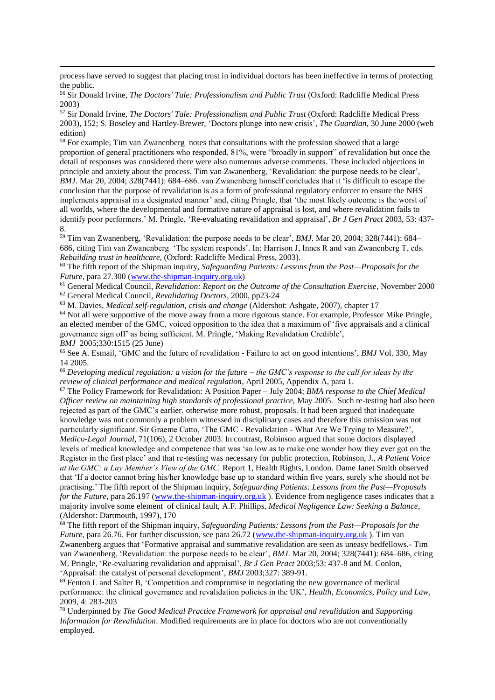process have served to suggest that placing trust in individual doctors has been ineffective in terms of protecting the public.

1

<sup>58</sup> For example. Tim van Zwanenberg, notes that consultations with the profession showed that a large proportion of general practitioners who responded, 81%, were "broadly in support" of revalidation but once the detail of responses was considered there were also numerous adverse comments. These included objections in principle and anxiety about the process. [Tim van Zwanenberg,](http://www.ncbi.nlm.nih.gov/pubmed/?term=van%20Zwanenberg%20T%5Bauth%5D) 'Revalidation: the purpose needs to be clear', *BMJ*. Mar 20, 2004; 328(7441): 684–686. van Zwanenberg himself concludes that it 'is difficult to escape the conclusion that the purpose of revalidation is as a form of professional regulatory enforcer to ensure the NHS implements appraisal in a designated manner' and, citing Pringle, that 'the most likely outcome is the worst of all worlds, where the developmental and formative nature of appraisal is lost, and where revalidation fails to identify poor performers.' M. Pringle, 'Re-evaluating revalidation and appraisal', *Br J Gen Pract* 2003, 53: 437- 8.

<sup>59</sup> [Tim van Zwanenberg,](http://www.ncbi.nlm.nih.gov/pubmed/?term=van%20Zwanenberg%20T%5Bauth%5D) 'Revalidation: the purpose needs to be clear', *BMJ*. Mar 20, 2004; 328(7441): 684– 686, citing Tim van Zwanenberg 'The system responds'. In: Harrison J, Innes R and van Zwanenberg T, eds. *Rebuilding trust in healthcare,* (Oxford: Radcliffe Medical Press, 2003).

<sup>60</sup> The fifth report of the Shipman inquiry, *Safeguarding Patients: Lessons from the Past—Proposals for the Future*, para 27.300 [\(www.the-shipman-inquiry.org.uk\)](http://www.the-shipman-inquiry.org.uk/)

<sup>61</sup> General Medical Council, *Revalidation: Report on the Outcome of the Consultation Exercise*, November 2000 <sup>62</sup> General Medical Council, *Revalidating Doctors*, 2000, pp23-24

<sup>63</sup> M. Davies, *[Medical self-regulation, crisis and change](http://sro.sussex.ac.uk/23841/)* (Aldershot: Ashgate, 2007), chapter 17

<sup>64</sup> Not all were supportive of the move away from a more rigorous stance. For example, Professor Mike Pringle, an elected member of the GMC, voiced opposition to the idea that a maximum of 'five appraisals and a clinical governance sign off' as being sufficient. M. Pringle, 'Making Revalidation Credible', *BMJ* 2005;330:1515 (25 June)

<sup>65</sup> See A. Esmail, 'GMC and the future of revalidation - Failure to act on good intentions', *BMJ* Vol. 330, May 14 2005.

<sup>66</sup> *Developing medical regulation: a vision for the future – the GMC's response to the call for ideas by the review of clinical performance and medical regulation*, April 2005, Appendix A, para 1.

<sup>67</sup> The Policy Framework for Revalidation: A Position Paper – July 2004; *BMA response to the Chief Medical Officer review on maintaining high standards of professional practice, May 2005. Such re-testing had also been* rejected as part of the GMC's earlier, otherwise more robust, proposals. It had been argued that inadequate knowledge was not commonly a problem witnessed in disciplinary cases and therefore this omission was not particularly significant. Sir Graeme Catto, 'The GMC - Revalidation - What Are We Trying to Measure?', *Medico-Legal Journal*, 71(106), 2 October 2003. In contrast, Robinson argued that some doctors displayed levels of medical knowledge and competence that was 'so low as to make one wonder how they ever got on the Register in the first place' and that re-testing was necessary for public protection, Robinson, J., *A Patient Voice at the GMC: a Lay Member's View of the GMC,* Report 1, Health Rights, London. Dame Janet Smith observed that 'If a doctor cannot bring his/her knowledge base up to standard within five years, surely s/he should not be practising.' The fifth report of the Shipman inquiry, *Safeguarding Patients: Lessons from the Past—Proposals for the Future*, para 26.197 [\(www.the-shipman-inquiry.org.uk](http://www.the-shipman-inquiry.org.uk/)). Evidence from negligence cases indicates that a majority involve some element of clinical fault, A.F. Phillips, *Medical Negligence Law: Seeking a Balance*, (Aldershot: Dartmouth, 1997), 170

<sup>68</sup> The fifth report of the Shipman inquiry, *Safeguarding Patients: Lessons from the Past—Proposals for the Future*, para 26.76. For further discussion, see para 26.72 [\(www.the-shipman-inquiry.org.uk](http://www.the-shipman-inquiry.org.uk/) )[. Tim van](http://www.ncbi.nlm.nih.gov/pubmed/?term=van%20Zwanenberg%20T%5Bauth%5D)  [Zwanenberg](http://www.ncbi.nlm.nih.gov/pubmed/?term=van%20Zwanenberg%20T%5Bauth%5D) argues that 'Formative appraisal and summative revalidation are seen as uneasy bedfellows.- [Tim](http://www.ncbi.nlm.nih.gov/pubmed/?term=van%20Zwanenberg%20T%5Bauth%5D)  [van Zwanenberg,](http://www.ncbi.nlm.nih.gov/pubmed/?term=van%20Zwanenberg%20T%5Bauth%5D) 'Revalidation: the purpose needs to be clear', *BMJ*. Mar 20, 2004; 328(7441): 684–686, citing M. Pringle, 'Re-evaluating revalidation and appraisal', *Br J Gen Pract* 2003;53: 437-8 and M. Conlon, 'Appraisal: the catalyst of personal development', *BMJ* 2003;327: 389-91.

<sup>69</sup> Fenton L and Salter B, 'Competition and compromise in negotiating the new governance of medical performance: the clinical governance and revalidation policies in the UK', *Health, Economics, Policy and Law*, 2009, 4: 283-203

<sup>70</sup> Underpinned by *The Good Medical Practice Framework for appraisal and revalidation* and *Supporting Information for Revalidation.* Modified requirements are in place for doctors who are not conventionally employed.

<sup>56</sup> Sir Donald Irvine, *The Doctors' Tale: Professionalism and Public Trust* (Oxford: Radcliffe Medical Press 2003)

<sup>57</sup> Sir Donald Irvine, *The Doctors' Tale: Professionalism and Public Trust* (Oxford: Radcliffe Medical Press 2003), 152; S. Boseley and Hartley-Brewer, 'Doctors plunge into new crisis', *The Guardian*, 30 June 2000 (web edition)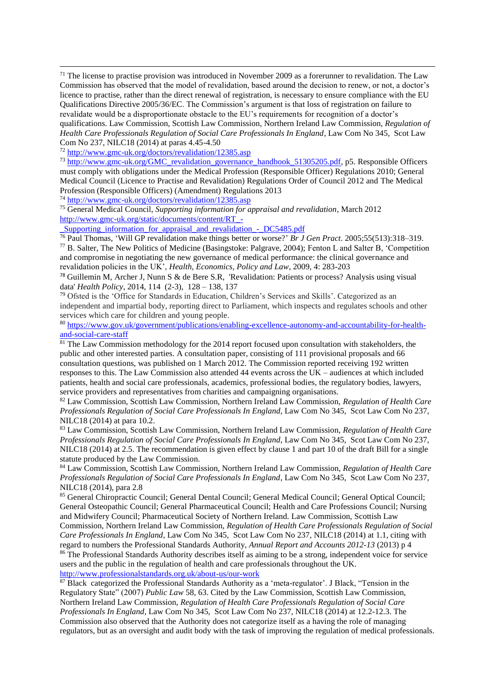<sup>71</sup> The license to practise provision was introduced in November 2009 as a forerunner to revalidation. The Law Commission has observed that the model of revalidation, based around the decision to renew, or not, a doctor's licence to practise, rather than the direct renewal of registration, is necessary to ensure compliance with the EU Qualifications Directive 2005/36/EC. The Commission's argument is that loss of registration on failure to revalidate would be a disproportionate obstacle to the EU's requirements for recognition of a doctor's qualifications. Law Commission, Scottish Law Commission, Northern Ireland Law Commission, *Regulation of Health Care Professionals Regulation of Social Care Professionals In England*, Law Com No 345, Scot Law Com No 237, NILC18 (2014) at paras 4.45-4.50

<sup>72</sup> <http://www.gmc-uk.org/doctors/revalidation/12385.asp>

1

<sup>73</sup> [http://www.gmc-uk.org/GMC\\_revalidation\\_governance\\_handbook\\_51305205.pdf,](http://www.gmc-uk.org/GMC_revalidation_governance_handbook_51305205.pdf) p5. Responsible Officers must comply with obligations under the Medical Profession (Responsible Officer) Regulations 2010; General Medical Council (Licence to Practise and Revalidation) Regulations Order of Council 2012 and The Medical Profession (Responsible Officers) (Amendment) Regulations 2013

<sup>74</sup> <http://www.gmc-uk.org/doctors/revalidation/12385.asp>

<sup>75</sup> General Medical Council, *Supporting information for appraisal and revalidation*, March 2012 [http://www.gmc-uk.org/static/documents/content/RT\\_-](http://www.gmc-uk.org/static/documents/content/RT_-_Supporting_information_for_appraisal_and_revalidation_-_DC5485.pdf)

[\\_Supporting\\_information\\_for\\_appraisal\\_and\\_revalidation\\_-\\_DC5485.pdf](http://www.gmc-uk.org/static/documents/content/RT_-_Supporting_information_for_appraisal_and_revalidation_-_DC5485.pdf)

**Supporting information for apprense and revaluation EQUI CORPORT**<br><sup>76</sup> Paul Thomas, 'Will GP revalidation make things better or worse?' *Br J Gen Pract*. 2005;55(513):318–319. <sup>77</sup> B. Salter, The New Politics of Medicine (Basingstoke: Palgrave, 2004); Fenton L and Salter B, 'Competition and compromise in negotiating the new governance of medical performance: the clinical governance and revalidation policies in the UK', *Health, Economics, Policy and Law*, 2009, 4: 283-203

<sup>78</sup> Guillemin M, Archer J, Nunn S & de Bere S.R, 'Revalidation: Patients or process? Analysis using visual data' *Health Policy*, 2014, 114 (2-3), 128 – 138, 137

<sup>79</sup> Ofsted is the 'Office for Standards in Education, Children's Services and Skills'. Categorized as an independent and impartial body, reporting direct to Parliament, which inspects and regulates schools and other services which care for children and young people.

<sup>80</sup> [https://www.gov.uk/government/publications/enabling-excellence-autonomy-and-accountability-for-health](https://www.gov.uk/government/publications/enabling-excellence-autonomy-and-accountability-for-health-and-social-care-staff)[and-social-care-staff](https://www.gov.uk/government/publications/enabling-excellence-autonomy-and-accountability-for-health-and-social-care-staff)

 $81$  The Law Commission methodology for the 2014 report focused upon consultation with stakeholders, the public and other interested parties. A consultation paper, consisting of 111 provisional proposals and 66 consultation questions, was published on 1 March 2012. The Commission reported receiving 192 written responses to this. The Law Commission also attended 44 events across the UK – audiences at which included patients, health and social care professionals, academics, professional bodies, the regulatory bodies, lawyers, service providers and representatives from charities and campaigning organisations.

<sup>82</sup> Law Commission, Scottish Law Commission, Northern Ireland Law Commission, *Regulation of Health Care Professionals Regulation of Social Care Professionals In England*, Law Com No 345, Scot Law Com No 237, NILC18 (2014) at para 10.2.

<sup>83</sup> Law Commission, Scottish Law Commission, Northern Ireland Law Commission, *Regulation of Health Care Professionals Regulation of Social Care Professionals In England*, Law Com No 345, Scot Law Com No 237, NILC18 (2014) at 2.5. The recommendation is given effect by clause 1 and part 10 of the draft Bill for a single statute produced by the Law Commission.

<sup>84</sup> Law Commission, Scottish Law Commission, Northern Ireland Law Commission, *Regulation of Health Care Professionals Regulation of Social Care Professionals In England*, Law Com No 345, Scot Law Com No 237, NILC18 (2014), para 2.8

<sup>85</sup> General Chiropractic Council; General Dental Council; General Medical Council; General Optical Council; General Osteopathic Council; General Pharmaceutical Council; Health and Care Professions Council; Nursing and Midwifery Council; Pharmaceutical Society of Northern Ireland. Law Commission, Scottish Law Commission, Northern Ireland Law Commission, *Regulation of Health Care Professionals Regulation of Social Care Professionals In England*, Law Com No 345, Scot Law Com No 237, NILC18 (2014) at 1.1, citing with regard to numbers the Professional Standards Authority, *Annual Report and Accounts 2012-13* (2013) p 4

<sup>86</sup> The Professional Standards Authority describes itself as aiming to be a strong, independent voice for service users and the public in the regulation of health and care professionals throughout the UK. <http://www.professionalstandards.org.uk/about-us/our-work>

<sup>87</sup> Black categorized the Professional Standards Authority as a 'meta-regulator'. J Black, "Tension in the Regulatory State" (2007) *Public Law* 58, 63. Cited by the Law Commission, Scottish Law Commission, Northern Ireland Law Commission, *Regulation of Health Care Professionals Regulation of Social Care Professionals In England*, Law Com No 345, Scot Law Com No 237, NILC18 (2014) at 12.2-12.3. The Commission also observed that the Authority does not categorize itself as a having the role of managing regulators, but as an oversight and audit body with the task of improving the regulation of medical professionals.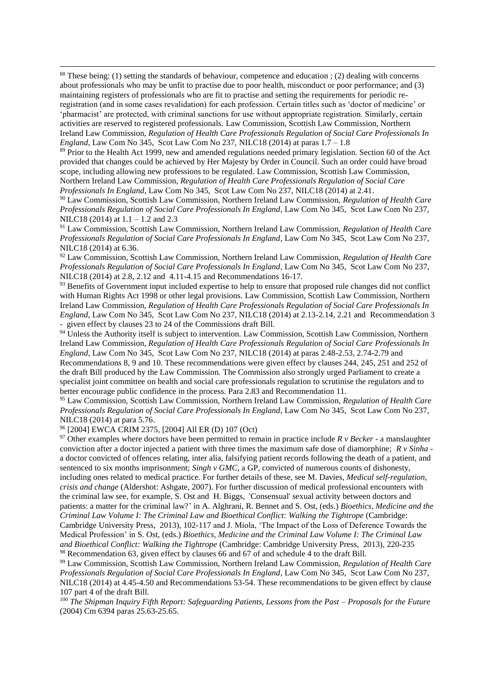<sup>88</sup> These being: (1) setting the standards of behaviour, competence and education ; (2) dealing with concerns about professionals who may be unfit to practise due to poor health, misconduct or poor performance; and (3) maintaining registers of professionals who are fit to practise and setting the requirements for periodic reregistration (and in some cases revalidation) for each profession. Certain titles such as 'doctor of medicine' or 'pharmacist' are protected, with criminal sanctions for use without appropriate registration. Similarly, certain activities are reserved to registered professionals. Law Commission, Scottish Law Commission, Northern Ireland Law Commission, *Regulation of Health Care Professionals Regulation of Social Care Professionals In England*, Law Com No 345, Scot Law Com No 237, NILC18 (2014) at paras 1.7 – 1.8

<sup>89</sup> Prior to the Health Act 1999, new and amended regulations needed primary legislation. Section 60 of the Act provided that changes could be achieved by Her Majesty by Order in Council. Such an order could have broad scope, including allowing new professions to be regulated. Law Commission, Scottish Law Commission, Northern Ireland Law Commission, *Regulation of Health Care Professionals Regulation of Social Care Professionals In England*, Law Com No 345, Scot Law Com No 237, NILC18 (2014) at 2.41.

<sup>90</sup> Law Commission, Scottish Law Commission, Northern Ireland Law Commission, *Regulation of Health Care Professionals Regulation of Social Care Professionals In England*, Law Com No 345, Scot Law Com No 237, NILC18 (2014) at 1.1 – 1.2 and 2.3

<sup>91</sup> Law Commission, Scottish Law Commission, Northern Ireland Law Commission, *Regulation of Health Care Professionals Regulation of Social Care Professionals In England*, Law Com No 345, Scot Law Com No 237, NILC18 (2014) at 6.36.

<sup>92</sup> Law Commission, Scottish Law Commission, Northern Ireland Law Commission, *Regulation of Health Care Professionals Regulation of Social Care Professionals In England*, Law Com No 345, Scot Law Com No 237, NILC18 (2014) at 2.8, 2.12 and 4.11-4.15 and Recommendations 16-17.

<sup>93</sup> Benefits of Government input included expertise to help to ensure that proposed rule changes did not conflict with Human Rights Act 1998 or other legal provisions. Law Commission, Scottish Law Commission, Northern Ireland Law Commission, *Regulation of Health Care Professionals Regulation of Social Care Professionals In England*, Law Com No 345, Scot Law Com No 237, NILC18 (2014) at 2.13-2.14, 2.21 and Recommendation 3 - given effect by clauses 23 to 24 of the Commissions draft Bill.

<sup>94</sup> Unless the Authority itself is subject to intervention. Law Commission, Scottish Law Commission, Northern Ireland Law Commission, *Regulation of Health Care Professionals Regulation of Social Care Professionals In England*, Law Com No 345, Scot Law Com No 237, NILC18 (2014) at paras 2.48-2.53, 2.74-2.79 and Recommendations 8, 9 and 10. These recommendations were given effect by clauses 244, 245, 251 and 252 of the draft Bill produced by the Law Commission. The Commission also strongly urged Parliament to create a specialist joint committee on health and social care professionals regulation to scrutinise the regulators and to better encourage public confidence in the process. Para 2.83 and Recommendation 11.

<sup>95</sup> Law Commission, Scottish Law Commission, Northern Ireland Law Commission, *Regulation of Health Care Professionals Regulation of Social Care Professionals In England*, Law Com No 345, Scot Law Com No 237, NILC18 (2014) at para 5.76.

<sup>96</sup> [2004] EWCA CRIM 2375, [2004] All ER (D) 107 (Oct)

1

<sup>97</sup> Other examples where doctors have been permitted to remain in practice include *R v Becker* - a manslaughter conviction after a doctor injected a patient with three times the maximum safe dose of diamorphine; *R v Sinha*  a doctor convicted of offences relating, inter alia, falsifying patient records following the death of a patient, and sentenced to six months imprisonment; *Singh v GMC,* a GP, convicted of numerous counts of dishonesty, including ones related to medical practice. For further details of these, see M. Davies, *[Medical self-regulation,](http://sro.sussex.ac.uk/23841/)  [crisis and change](http://sro.sussex.ac.uk/23841/)* (Aldershot: Ashgate, 2007). For further discussion of medical professional encounters with the criminal law see, for example, S. Ost and H. Biggs, ['Consensual' sexual activity between doctors and](http://eprints.soton.ac.uk/339083/)  [patients: a matter for the criminal law?'](http://eprints.soton.ac.uk/339083/) in A. Alghrani, R. Bennet and S. Ost, (eds.) *Bioethics, Medicine and the Criminal Law Volume I: The Criminal Law and Bioethical Conflict: Walking the Tightrope* (Cambridge: Cambridge University Press, 2013), 102-117 and J. Miola, 'The Impact of the Loss of Deference Towards the Medical Profession' in S. Ost, (eds.) *Bioethics, Medicine and the Criminal Law Volume I: The Criminal Law and Bioethical Conflict: Walking the Tightrope* (Cambridge: Cambridge University Press, 2013), 220-235 98 Recommendation 63, given effect by clauses 66 and 67 of and schedule 4 to the draft Bill.

<sup>99</sup> Law Commission, Scottish Law Commission, Northern Ireland Law Commission, *Regulation of Health Care Professionals Regulation of Social Care Professionals In England*, Law Com No 345, Scot Law Com No 237, NILC18 (2014) at 4.45-4.50 and Recommendations 53-54. These recommendations to be given effect by clause 107 part 4 of the draft Bill.

<sup>100</sup> *The Shipman Inquiry Fifth Report: Safeguarding Patients, Lessons from the Past – Proposals for the Future* (2004) Cm 6394 paras 25.63-25.65.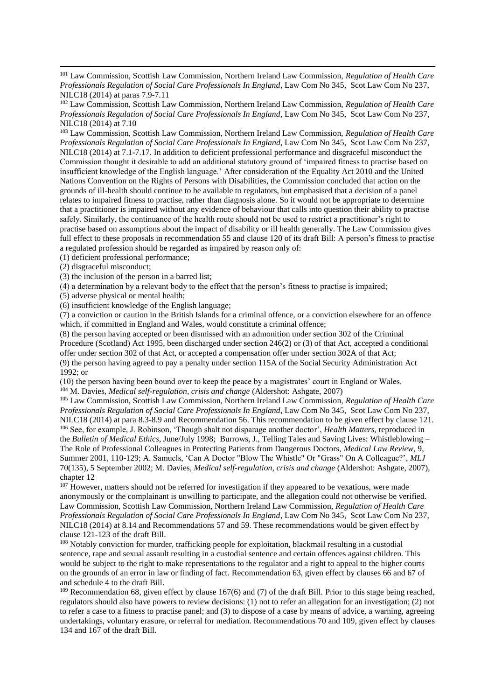<sup>101</sup> Law Commission, Scottish Law Commission, Northern Ireland Law Commission, *Regulation of Health Care Professionals Regulation of Social Care Professionals In England*, Law Com No 345, Scot Law Com No 237, NILC18 (2014) at paras 7.9-7.11

<sup>102</sup> Law Commission, Scottish Law Commission, Northern Ireland Law Commission, *Regulation of Health Care Professionals Regulation of Social Care Professionals In England*, Law Com No 345, Scot Law Com No 237, NILC18 (2014) at 7.10

<sup>103</sup> Law Commission, Scottish Law Commission, Northern Ireland Law Commission, *Regulation of Health Care Professionals Regulation of Social Care Professionals In England*, Law Com No 345, Scot Law Com No 237, NILC18 (2014) at 7.1-7.17. In addition to deficient professional performance and disgraceful misconduct the Commission thought it desirable to add an additional statutory ground of 'impaired fitness to practise based on insufficient knowledge of the English language.' After consideration of the Equality Act 2010 and the United Nations Convention on the Rights of Persons with Disabilities, the Commission concluded that action on the grounds of ill-health should continue to be available to regulators, but emphasised that a decision of a panel relates to impaired fitness to practise, rather than diagnosis alone. So it would not be appropriate to determine that a practitioner is impaired without any evidence of behaviour that calls into question their ability to practise safely. Similarly, the continuance of the health route should not be used to restrict a practitioner's right to practise based on assumptions about the impact of disability or ill health generally. The Law Commission gives full effect to these proposals in recommendation 55 and clause 120 of its draft Bill: A person's fitness to practise a regulated profession should be regarded as impaired by reason only of:

(1) deficient professional performance;

(2) disgraceful misconduct;

1

(3) the inclusion of the person in a barred list;

(4) a determination by a relevant body to the effect that the person's fitness to practise is impaired;

(5) adverse physical or mental health;

(6) insufficient knowledge of the English language;

(7) a conviction or caution in the British Islands for a criminal offence, or a conviction elsewhere for an offence which, if committed in England and Wales, would constitute a criminal offence:

(8) the person having accepted or been dismissed with an admonition under section 302 of the Criminal Procedure (Scotland) Act 1995, been discharged under section 246(2) or (3) of that Act, accepted a conditional offer under section 302 of that Act, or accepted a compensation offer under section 302A of that Act; (9) the person having agreed to pay a penalty under section 115A of the Social Security Administration Act 1992; or

(10) the person having been bound over to keep the peace by a magistrates' court in England or Wales. <sup>104</sup> M. Davies, *[Medical self-regulation, crisis and change](http://sro.sussex.ac.uk/23841/)* (Aldershot: Ashgate, 2007)

<sup>105</sup> Law Commission, Scottish Law Commission, Northern Ireland Law Commission, *Regulation of Health Care Professionals Regulation of Social Care Professionals In England*, Law Com No 345, Scot Law Com No 237, NILC18 (2014) at para 8.3-8.9 and Recommendation 56. This recommendation to be given effect by clause 121. <sup>106</sup> See, for example, J. Robinson, 'Though shalt not disparage another doctor', *Health Matters,* reproduced in the *Bulletin of Medical Ethics*, June/July 1998; Burrows, J., Telling Tales and Saving Lives: Whistleblowing – The Role of Professional Colleagues in Protecting Patients from Dangerous Doctors, *Medical Law Review*, 9, Summer 2001, 110-129; A. Samuels, 'Can A Doctor "Blow The Whistle" Or "Grass" On A Colleague?', *MLJ* 70(135), 5 September 2002; M. Davies, *[Medical self-regulation, crisis and change](http://sro.sussex.ac.uk/23841/)* (Aldershot: Ashgate, 2007), chapter 12

<sup>107</sup> However, matters should not be referred for investigation if they appeared to be vexatious, were made anonymously or the complainant is unwilling to participate, and the allegation could not otherwise be verified. Law Commission, Scottish Law Commission, Northern Ireland Law Commission, *Regulation of Health Care Professionals Regulation of Social Care Professionals In England*, Law Com No 345, Scot Law Com No 237, NILC18 (2014) at 8.14 and Recommendations 57 and 59. These recommendations would be given effect by clause 121-123 of the draft Bill.

<sup>108</sup> Notably conviction for murder, trafficking people for exploitation, blackmail resulting in a custodial sentence, rape and sexual assault resulting in a custodial sentence and certain offences against children. This would be subject to the right to make representations to the regulator and a right to appeal to the higher courts on the grounds of an error in law or finding of fact. Recommendation 63, given effect by clauses 66 and 67 of and schedule 4 to the draft Bill.

 $109$  Recommendation 68, given effect by clause 167(6) and (7) of the draft Bill. Prior to this stage being reached, regulators should also have powers to review decisions: (1) not to refer an allegation for an investigation; (2) not to refer a case to a fitness to practise panel; and (3) to dispose of a case by means of advice, a warning, agreeing undertakings, voluntary erasure, or referral for mediation. Recommendations 70 and 109, given effect by clauses 134 and 167 of the draft Bill.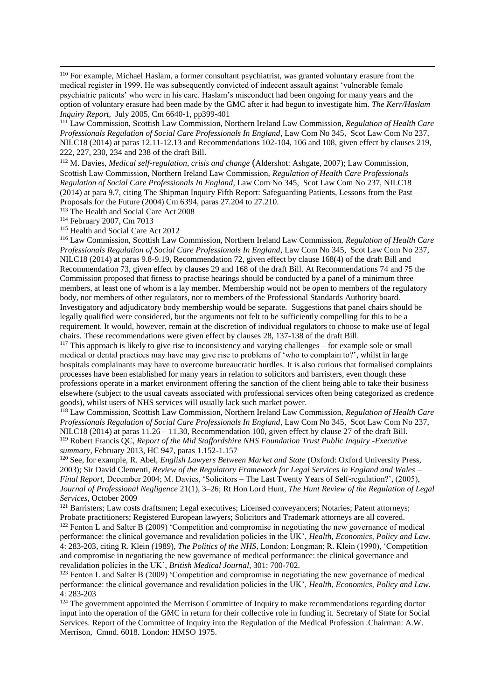<sup>110</sup> For example, Michael Haslam, a former consultant psychiatrist, was granted voluntary erasure from the medical register in 1999. He was subsequently convicted of indecent assault against 'vulnerable female psychiatric patients' who were in his care. Haslam's misconduct had been ongoing for many years and the option of voluntary erasure had been made by the GMC after it had begun to investigate him. *The Kerr/Haslam Inquiry Report,* July 2005, Cm 6640-1, pp399-401

<sup>111</sup> Law Commission, Scottish Law Commission, Northern Ireland Law Commission, *Regulation of Health Care Professionals Regulation of Social Care Professionals In England*, Law Com No 345, Scot Law Com No 237, NILC18 (2014) at paras 12.11-12.13 and Recommendations 102-104, 106 and 108, given effect by clauses 219, 222, 227, 230, 234 and 238 of the draft Bill.

<sup>112</sup> M. Davies, *[Medical self-regulation, crisis and change](http://sro.sussex.ac.uk/23841/)* (Aldershot: Ashgate, 2007); Law Commission, Scottish Law Commission, Northern Ireland Law Commission, *Regulation of Health Care Professionals Regulation of Social Care Professionals In England*, Law Com No 345, Scot Law Com No 237, NILC18 (2014) at para 9.7, citing The Shipman Inquiry Fifth Report: Safeguarding Patients, Lessons from the Past – Proposals for the Future (2004) Cm 6394, paras 27.204 to 27.210.

<sup>113</sup> The Health and Social Care Act 2008

<sup>114</sup> February 2007, Cm 7013

1

<sup>115</sup> Health and Social Care Act 2012

<sup>116</sup> Law Commission, Scottish Law Commission, Northern Ireland Law Commission, *Regulation of Health Care Professionals Regulation of Social Care Professionals In England*, Law Com No 345, Scot Law Com No 237, NILC18 (2014) at paras 9.8-9.19, Recommendation 72, given effect by clause 168(4) of the draft Bill and Recommendation 73, given effect by clauses 29 and 168 of the draft Bill. At Recommendations 74 and 75 the Commission proposed that fitness to practise hearings should be conducted by a panel of a minimum three members, at least one of whom is a lay member. Membership would not be open to members of the regulatory body, nor members of other regulators, nor to members of the Professional Standards Authority board. Investigatory and adjudicatory body membership would be separate. Suggestions that panel chairs should be legally qualified were considered, but the arguments not felt to be sufficiently compelling for this to be a requirement. It would, however, remain at the discretion of individual regulators to choose to make use of legal chairs. These recommendations were given effect by clauses 28, 137-138 of the draft Bill.

 $117$  This approach is likely to give rise to inconsistency and varying challenges – for example sole or small medical or dental practices may have may give rise to problems of 'who to complain to?', whilst in large hospitals complainants may have to overcome bureaucratic hurdles. It is also curious that formalised complaints processes have been established for many years in relation to solicitors and barristers, even though these professions operate in a market environment offering the sanction of the client being able to take their business elsewhere (subject to the usual caveats associated with professional services often being categorized as credence goods), whilst users of NHS services will usually lack such market power.

<sup>118</sup> Law Commission, Scottish Law Commission, Northern Ireland Law Commission, *Regulation of Health Care Professionals Regulation of Social Care Professionals In England*, Law Com No 345, Scot Law Com No 237, NILC18 (2014) at paras 11.26 – 11.30, Recommendation 100, given effect by clause 27 of the draft Bill. <sup>119</sup> Robert Francis QC, *Report of the Mid Staffordshire NHS Foundation Trust Public Inquiry -Executive* 

*summary*, February 2013, HC 947, paras 1.152-1.157 <sup>120</sup> See, for example, R. Abel, *English Lawyers Between Market and State* (Oxford: Oxford University Press, 2003); Sir David Clementi, *Review of the Regulatory Framework for Legal Services in England and Wales – Final Report*, December 2004; M. Davies, 'Solicitors – The Last Twenty Years of Self-regulation?', (2005), *Journal of Professional Negligence* 21(1), 3–26; Rt Hon Lord Hunt, *The Hunt Review of the Regulation of Legal* 

*Services*, October 2009

<sup>121</sup> Barristers; Law costs draftsmen; Legal executives; Licensed conveyancers; Notaries; Patent attorneys; Probate practitioners; Registered European lawyers; Solicitors and Trademark attorneys are all covered. <sup>122</sup> Fenton L and Salter B (2009) 'Competition and compromise in negotiating the new governance of medical performance: the clinical governance and revalidation policies in the UK', *Health, Economics, Policy and Law*. 4: 283-203, citing R. Klein (1989), *The Politics of the NHS*, London: Longman; R. Klein (1990), 'Competition and compromise in negotiating the new governance of medical performance: the clinical governance and revalidation policies in the UK', *British Medical Journal*, 301: 700-702.

<sup>123</sup> Fenton L and Salter B (2009) 'Competition and compromise in negotiating the new governance of medical performance: the clinical governance and revalidation policies in the UK', *Health, Economics, Policy and Law*. 4: 283-203

<sup>124</sup> The government appointed the Merrison Committee of Inquiry to make recommendations regarding doctor input into the operation of the GMC in return for their collective role in funding it. Secretary of State for Social Services. Report of the Committee of Inquiry into the Regulation of the Medical Profession *.*Chairman: A.W. Merrison, Cmnd. 6018. London: HMSO 1975.